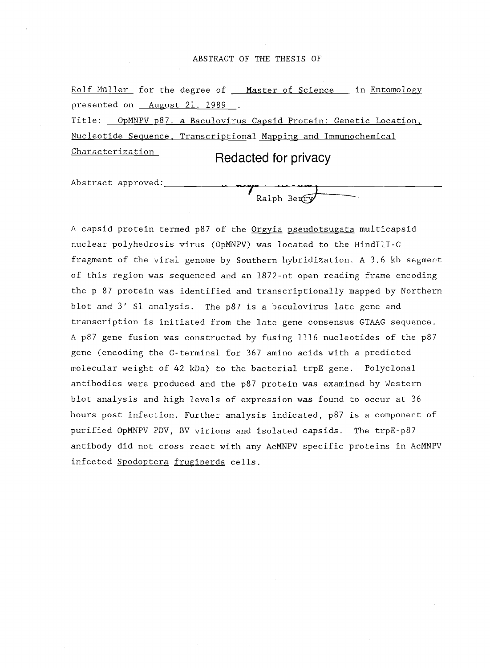#### ABSTRACT OF THE THESIS OF

Rolf Müller for the degree of \_\_ Master of Science \_\_ in Entomology presented on **August 21, 1989**. Title: OpMNPV p87. a Baculovirus Capsid Protein: Genetic Location,

Nucleotide Sequence, Transcriptional Mapping and Immunochemical

Characterization Redacted for privacy

Ralph Benry

Abstract approved:

A capsid protein termed p87 of the Orgyia pseudotsugata multicapsid nuclear polyhedrosis virus (OpMNPV) was located to the HindIII-G fragment of the viral genome by Southern hybridization. A 3.6 kb segment of this region was sequenced and an 1872-nt open reading frame encoding the p 87 protein was identified and transcriptionally mapped by Northern blot and 3' S1 analysis. The p87 is a baculovirus late gene and transcription is initiated from the late gene consensus GTAAG sequence. A p87 gene fusion was constructed by fusing 1116 nucleotides of the p87 gene (encoding the C-terminal for 367 amino acids with a predicted molecular weight of 42 kDa) to the bacterial trpE gene. Polyclonal antibodies were produced and the p87 protein was examined by Western blot analysis and high levels of expression was found to occur at 36 hours post infection. Further analysis indicated, p87 is a component of purified OpMNPV PDV, BV virions and isolated capsids. The trpE-p87 antibody did not cross react with any AcMNPV specific proteins in AcMNPV infected Spodoptera frugiperda cells.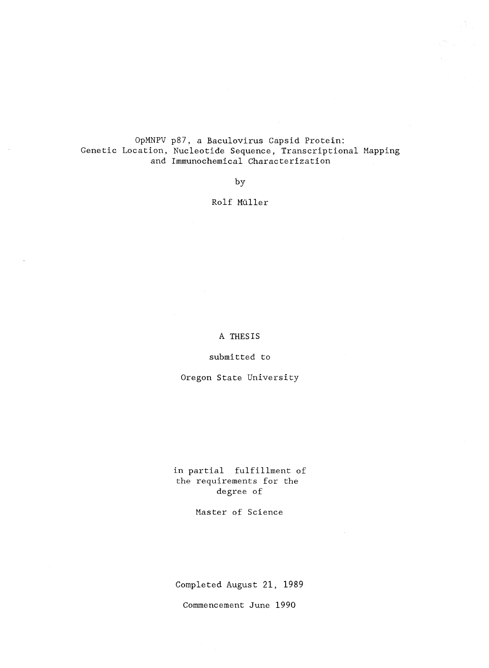OpMNPV p87, a Baculovirus Capsid Protein: Genetic Location, Nucleotide Sequence, Transcriptional Mapping and Immunochemical Characterization

by

# Rolf Muller

A THESIS

submitted to

Oregon State University

in partial fulfillment of the requirements for the degree of

Master of Science

Completed August 21, 1989

Commencement June 1990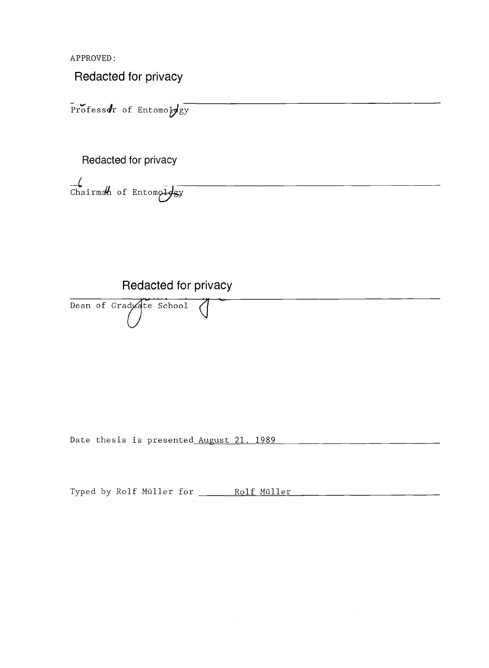APPROVED:

Redacted for privacy

Professor of Entomology

Redacted for privacy

 $\frac{1}{\text{Chain}}$  of Entomology

Redacted for privacy

Dean of Graduate School

Date thesis is presented August 21. 1989

Typed by Rolf Müller for \_\_\_\_\_\_ Rolf Müller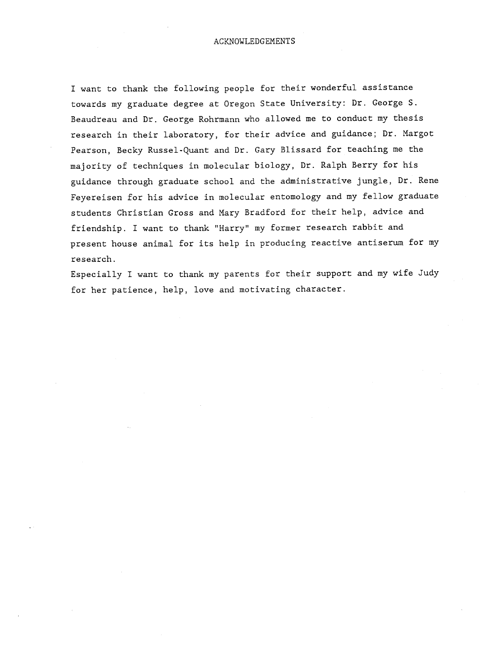I want to thank the following people for their wonderful assistance towards my graduate degree at Oregon State University: Dr. George S. Beaudreau and Dr. George Rohrmann who allowed me to conduct my thesis research in their laboratory, for their advice and guidance; Dr. Margot Pearson, Becky Russel-Quant and Dr. Gary Blissard for teaching me the majority of techniques in molecular biology, Dr. Ralph Berry for his guidance through graduate school and the administrative jungle, Dr. Rene Feyereisen for his advice in molecular entomology and my fellow graduate students Christian Gross and Mary Bradford for their help, advice and friendship. I want to thank "Harry" my former research rabbit and present house animal for its help in producing reactive antiserum for my research.

Especially I want to thank my parents for their support and my wife Judy for her patience, help, love and motivating character.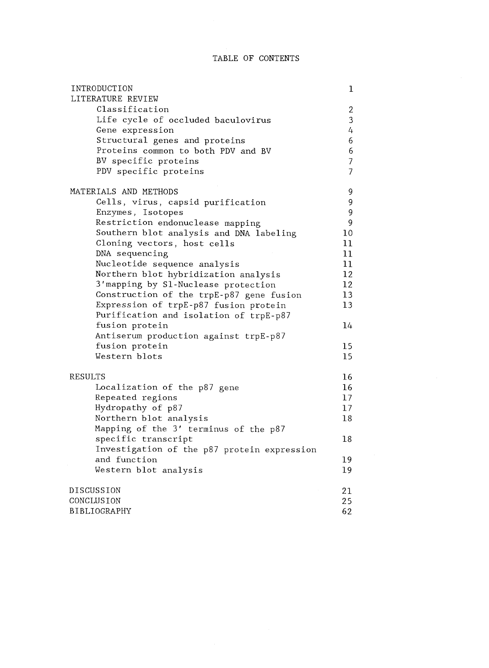# TABLE OF CONTENTS

| INTRODUCTION                                             | $\mathbf 1$    |
|----------------------------------------------------------|----------------|
| LITERATURE REVIEW                                        |                |
| Classification                                           | $\overline{c}$ |
| Life cycle of occluded baculovirus                       | 3              |
| Gene expression                                          | 4              |
| Structural genes and proteins                            | 6              |
| Proteins common to both PDV and BV                       | 6              |
| BV specific proteins                                     | $\overline{7}$ |
| PDV specific proteins                                    | $\overline{7}$ |
| MATERIALS AND METHODS                                    | 9              |
| Cells, virus, capsid purification                        | 9              |
| Enzymes, Isotopes                                        | 9              |
| Restriction endonuclease mapping                         | 9              |
| Southern blot analysis and DNA labeling                  | 10             |
| Cloning vectors, host cells                              | 11             |
| DNA sequencing                                           | 11             |
| Nucleotide sequence analysis                             | 11             |
| Northern blot hybridization analysis                     | 12             |
| 3'mapping by S1-Nuclease protection                      | 12             |
| Construction of the trpE-p87 gene fusion                 | 13             |
| Expression of trpE-p87 fusion protein                    | 13             |
| Purification and isolation of trpE-p87<br>fusion protein | 14             |
| Antiserum production against trpE-p87                    |                |
| fusion protein                                           | 15             |
| Western blots                                            | 15             |
| RESULTS                                                  | 16             |
| Localization of the p87 gene                             | 16             |
| Repeated regions                                         | 17             |
| Hydropathy of p87                                        | 17             |
| Northern blot analysis                                   | 18             |
| Mapping of the 3' terminus of the p87                    |                |
| specific transcript                                      | 18             |
| Investigation of the p87 protein expression              |                |
| and function                                             | 19             |
| Western blot analysis                                    | 19             |
| DISCUSSION                                               | 21             |
| CONCLUSION                                               | 25             |
| BIBLIOGRAPHY                                             | 62             |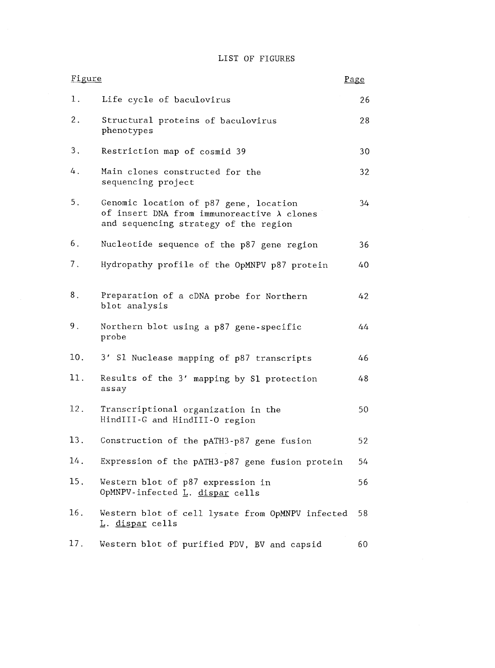# LIST OF FIGURES

| Figure |                                                                                                                                       | Page |  |
|--------|---------------------------------------------------------------------------------------------------------------------------------------|------|--|
| 1.     | Life cycle of baculovirus                                                                                                             | 26   |  |
| $2$ .  | Structural proteins of baculovirus<br>phenotypes                                                                                      | 28   |  |
| 3.     | Restriction map of cosmid 39                                                                                                          | 30   |  |
| 4.     | Main clones constructed for the<br>sequencing project                                                                                 | 32   |  |
| 5.     | Genomic location of p87 gene, location<br>of insert DNA from immunoreactive $\lambda$ clones<br>and sequencing strategy of the region | 34   |  |
| 6.     | Nucleotide sequence of the p87 gene region                                                                                            | 36   |  |
| 7.     | Hydropathy profile of the OpMNPV p87 protein                                                                                          | 40   |  |
| 8.     | Preparation of a cDNA probe for Northern<br>blot analysis                                                                             | 42   |  |
| $9$ .  | Northern blot using a p87 gene-specific<br>probe                                                                                      | 44   |  |
| 10.    | 3' Sl Nuclease mapping of p87 transcripts                                                                                             | 46   |  |
| 11.    | Results of the 3' mapping by S1 protection<br>assay                                                                                   | 48   |  |
| 12.    | Transcriptional organization in the<br>HindIII-G and HindIII-O region                                                                 | 50   |  |
| 13.    | Construction of the pATH3-p87 gene fusion                                                                                             | 52   |  |
| 14.    | Expression of the pATH3-p87 gene fusion protein                                                                                       | 54   |  |
| 15.    | Western blot of p87 expression in<br>OpMNPV-infected L. dispar cells                                                                  | 56   |  |
| 16.    | Western blot of cell lysate from OpMNPV infected<br><u>L. dispar</u> cells                                                            | 58   |  |
| 17.    | Western blot of purified PDV, BV and capsid                                                                                           | 60   |  |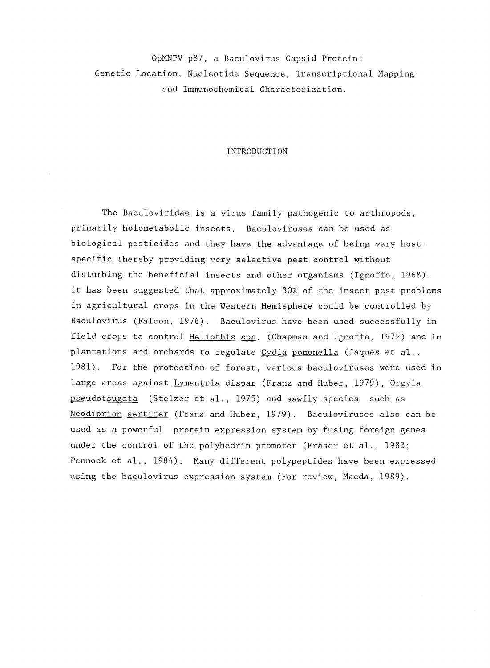OpMNPV p87, a Baculovirus Capsid Protein: Genetic Location, Nucleotide Sequence, Transcriptional Mapping and Immunochemical Characterization.

#### INTRODUCTION

The Baculoviridae is a virus family pathogenic to arthropods, primarily holometabolic insects. Baculoviruses can be used as biological pesticides and they have the advantage of being very hostspecific thereby providing very selective pest control without disturbing the beneficial insects and other organisms (Ignoffo, 1968). It has been suggested that approximately 30% of the insect pest problems in agricultural crops in the Western Hemisphere could be controlled by Baculovirus (Falcon, 1976). Baculovirus have been used successfully in field crops to control Heliothis spp. (Chapman and Ignoffo, 1972) and in plantations and orchards to regulate Cydia pomonella (Jaques et al., 1981). For the protection of forest, various baculoviruses were used in large areas against Lymantria dispar (Franz and Huber, 1979), Orgyia pseudotsugata (Stelzer et al., 1975) and sawfly species such as Neodiprion sertifer (Franz and Huber, 1979). Baculoviruses also can be used as a powerful protein expression system by fusing foreign genes under the control of the polyhedrin promoter (Fraser et al., 1983; Pennock et al., 1984). Many different polypeptides have been expressed using the baculovirus expression system (For review, Maeda, 1989).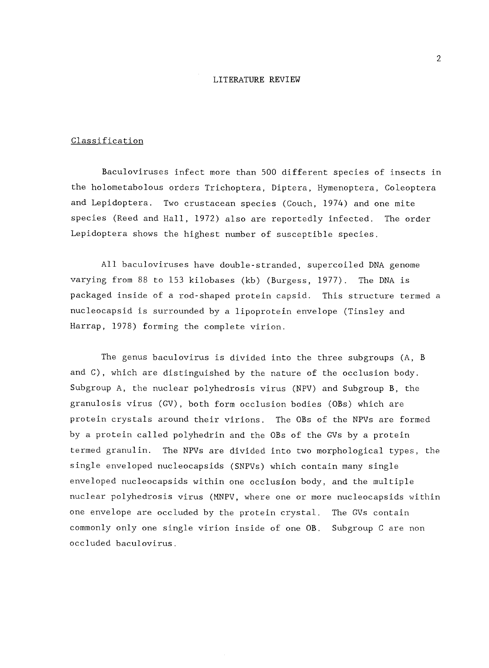#### LITERATURE REVIEW

#### Classification

Baculoviruses infect more than 500 different species of insects in the holometabolous orders Trichoptera, Diptera, Hymenoptera, Coleoptera and Lepidoptera. Two crustacean species (Couch, 1974) and one mite species (Reed and Hall, 1972) also are reportedly infected. The order Lepidoptera shows the highest number of susceptible species.

All baculoviruses have double-stranded, supercoiled DNA genome varying from 88 to 153 kilobases (kb) (Burgess, 1977). The DNA is packaged inside of a rod-shaped protein capsid. This structure termed a nucleocapsid is surrounded by a lipoprotein envelope (Tinsley and Harrap, 1978) forming the complete virion.

The genus baculovirus is divided into the three subgroups (A, B and C), which are distinguished by the nature of the occlusion body. Subgroup A, the nuclear polyhedrosis virus (NPV) and Subgroup B, the granulosis virus (GV), both form occlusion bodies (OBs) which are protein crystals around their virions. The OBs of the NPVs are formed by a protein called polyhedrin and the OBs of the GVs by a protein termed granulin. The NPVs are divided into two morphological types, the single enveloped nucleocapsids (SNPVs) which contain many single enveloped nucleocapsids within one occlusion body, and the multiple nuclear polyhedrosis virus (MNPV, where one or more nucleocapsids within one envelope are occluded by the protein crystal. The GVs contain commonly only one single virion inside of one OB. Subgroup C are non occluded baculovirus.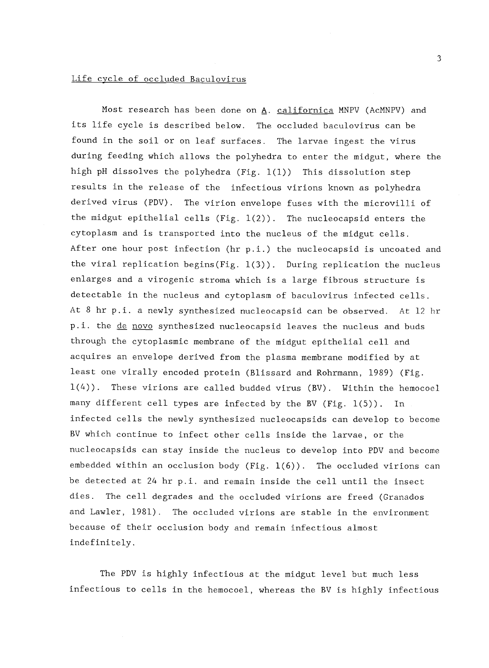### Life cycle of occluded Baculovirus

Most research has been done on  $\underline{A}$ . californica MNPV (AcMNPV) and its life cycle is described below. The occluded baculovirus can be found in the soil or on leaf surfaces. The larvae ingest the virus during feeding which allows the polyhedra to enter the midgut, where the high pH dissolves the polyhedra (Fig. 1(1)) This dissolution step results in the release of the infectious virions known as polyhedra derived virus (PDV). The virion envelope fuses with the microvilli of the midgut epithelial cells (Fig. 1(2)). The nucleocapsid enters the cytoplasm and is transported into the nucleus of the midgut cells. After one hour post infection (hr p.i.) the nucleocapsid is uncoated and the viral replication begins(Fig. 1(3)). During replication the nucleus enlarges and a virogenic stroma which is a large fibrous structure is detectable in the nucleus and cytoplasm of baculovirus infected cells. At 8 hr p.i. a newly synthesized nucleocapsid can be observed. At 12 hr p.i. the de novo synthesized nucleocapsid leaves the nucleus and buds through the cytoplasmic membrane of the midgut epithelial cell and acquires an envelope derived from the plasma membrane modified by at least one virally encoded protein (Blissard and Rohrmann, 1989) (Fig. 1(4)). These virions are called budded virus (BV). Within the hemocoel many different cell types are infected by the BV (Fig. 1(5)). In infected cells the newly synthesized nucleocapsids can develop to become BV which continue to infect other cells inside the larvae, or the nucleocapsids can stay inside the nucleus to develop into PDV and become embedded within an occlusion body (Fig. 1(6)). The occluded virions can be detected at 24 hr p.i. and remain inside the cell until the insect dies. The cell degrades and the occluded virions are freed (Granados and Lawler, 1981). The occluded virions are stable in the environment because of their occlusion body and remain infectious almost indefinitely.

The PDV is highly infectious at the midgut level but much less infectious to cells in the hemocoel, whereas the BV is highly infectious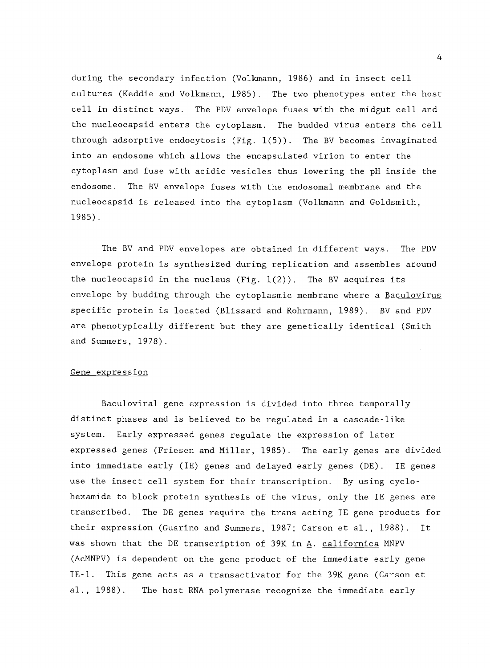during the secondary infection (Volkmann, 1986) and in insect cell cultures (Keddie and Volkmann, 1985). The two phenotypes enter the host cell in distinct ways. The PDV envelope fuses with the midgut cell and the nucleocapsid enters the cytoplasm. The budded virus enters the cell through adsorptive endocytosis (Fig.  $1(5)$ ). The BV becomes invaginated into an endosome which allows the encapsulated virion to enter the cytoplasm and fuse with acidic vesicles thus lowering the pH inside the endosome. The BV envelope fuses with the endosomal membrane and the nucleocapsid is released into the cytoplasm (Volkmann and Goldsmith, 1985).

The BV and PDV envelopes are obtained in different ways. The PDV envelope protein is synthesized during replication and assembles around the nucleocapsid in the nucleus (Fig.  $1(2)$ ). The BV acquires its envelope by budding through the cytoplasmic membrane where a Baculovirus specific protein is located (Blissard and Rohrmann, 1989). BV and PDV are phenotypically different but they are genetically identical (Smith and Summers, 1978).

### Gene expression

Baculoviral gene expression is divided into three temporally distinct phases and is believed to be regulated in a cascade-like system. Early expressed genes regulate the expression of later expressed genes (Friesen and Miller, 1985). The early genes are divided into immediate early (IE) genes and delayed early genes (DE). IE genes use the insect cell system for their transcription. By using cyclohexamide to block protein synthesis of the virus, only the IE genes are transcribed. The DE genes require the trans acting IE gene products for their expression (Guarino and Summers, 1987; Carson et al., 1988). It was shown that the DE transcription of 39K in A. californica MNPV (AcMNPV) is dependent on the gene product of the immediate early gene IE -l. This gene acts as a transactivator for the 39K gene (Carson et al., 1988). The host RNA polymerase recognize the immediate early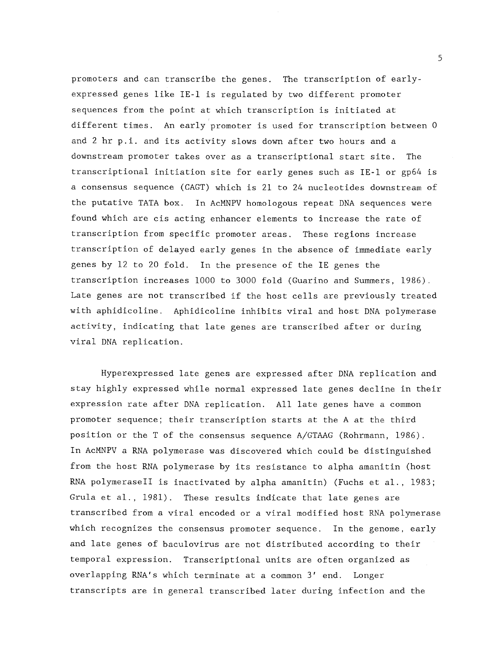promoters and can transcribe the genes. The transcription of earlyexpressed genes like IE-1 is regulated by two different promoter sequences from the point at which transcription is initiated at different times. An early promoter is used for transcription between 0 and 2 hr p.i. and its activity slows down after two hours and a downstream promoter takes over as a transcriptional start site. The transcriptional initiation site for early genes such as IE-1 or gp64 is a consensus sequence (CAGT) which is 21 to 24 nucleotides downstream of the putative TATA box. In AcMNPV homologous repeat DNA sequences were found which are cis acting enhancer elements to increase the rate of transcription from specific promoter areas. These regions increase transcription of delayed early genes in the absence of immediate early genes by 12 to 20 fold. In the presence of the IE genes the transcription increases 1000 to 3000 fold (Guarino and Summers, 1986). Late genes are not transcribed if the host cells are previously treated with aphidicoline. Aphidicoline inhibits viral and host DNA polymerase activity, indicating that late genes are transcribed after or during viral DNA replication.

Hyperexpressed late genes are expressed after DNA replication and stay highly expressed while normal expressed late genes decline in their expression rate after DNA replication. All late genes have a common promoter sequence; their transcription starts at the A at the third position or the T of the consensus sequence A/GTAAG (Rohrmann, 1986). In AcMNPV a RNA polymerase was discovered which could be distinguished from the host RNA polymerase by its resistance to alpha amanitin (host RNA polymerasell is inactivated by alpha amanitin) (Fuchs et al., 1983; Grula et al., 1981). These results indicate that late genes are transcribed from a viral encoded or a viral modified host RNA polymerase which recognizes the consensus promoter sequence. In the genome, early and late genes of baculovirus are not distributed according to their temporal expression. Transcriptional units are often organized as overlapping RNA's which terminate at a common 3' end. Longer transcripts are in general transcribed later during infection and the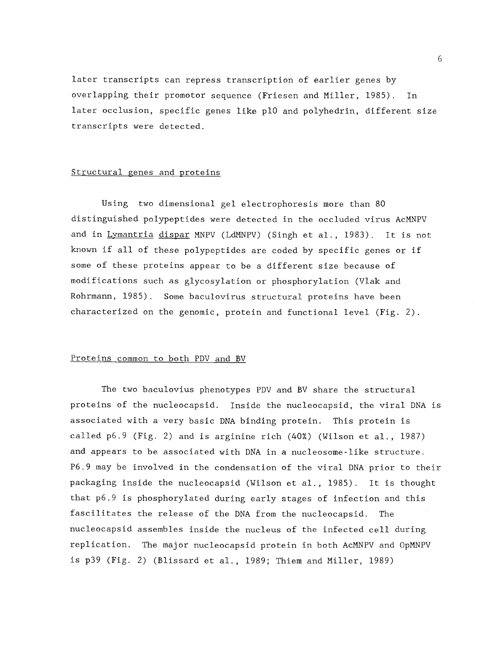later transcripts can repress transcription of earlier genes by overlapping their promotor sequence (Friesen and Miller, 1985). In later occlusion, specific genes like p10 and polyhedrin, different size transcripts were detected.

#### Structural genes and proteins

Using two dimensional gel electrophoresis more than 80 distinguished polypeptides were detected in the occluded virus AcMNPV and in Lymantria dispar MNPV (LdMNPV) (Singh et al., 1983). It is not known if all of these polypeptides are coded by specific genes or if some of these proteins appear to be a different size because of modifications such as glycosylation or phosphorylation (Vlak and Rohrmann, 1985). Some baculovirus structural proteins have been characterized on the genomic, protein and functional level (Fig. 2).

#### Proteins common to both PDV and BV

The two baculovius phenotypes PDV and BV share the structural proteins of the nucleocapsid. Inside the nucleocapsid, the viral DNA is associated with a very basic DNA binding protein. This protein is called p6.9 (Fig. 2) and is arginine rich (40%) (Wilson et al., 1987) and appears to be associated with DNA in a nucleosome-like structure. P6.9 may be involved in the condensation of the viral DNA prior to their packaging inside the nucleocapsid (Wilson et al., 1985). It is thought that p6.9 is phosphorylated during early stages of infection and this fascilitates the release of the DNA from the nucleocapsid. The nucleocapsid assembles inside the nucleus of the infected cell during replication. The major nucleocapsid protein in both AcMNPV and OpMNPV is p39 (Fig. 2) (Blissard et al., 1989; Thiem and Miller, 1989)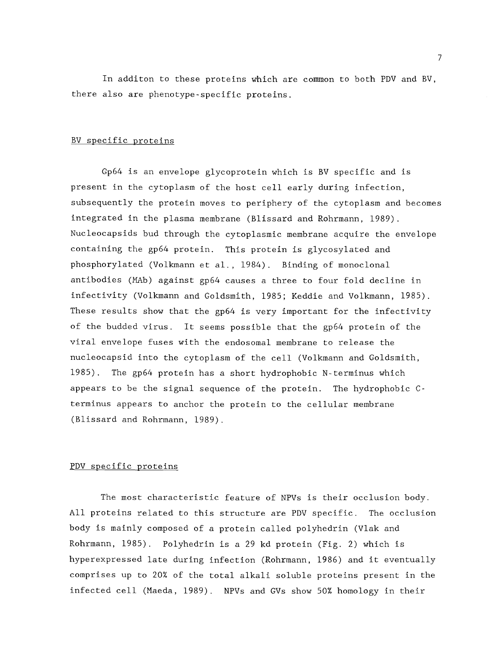In additon to these proteins which are common to both PDV and BV, there also are phenotype-specific proteins.

### BV specific proteins

Gp64 is an envelope glycoprotein which is BV specific and is present in the cytoplasm of the host cell early during infection, subsequently the protein moves to periphery of the cytoplasm and becomes integrated in the plasma membrane (Blissard and Rohrmann, 1989). Nucleocapsids bud through the cytoplasmic membrane acquire the envelope containing the gp64 protein. This protein is glycosylated and phosphorylated (Volkmann et al., 1984). Binding of monoclonal antibodies (MAb) against gp64 causes a three to four fold decline in infectivity (Volkmann and Goldsmith, 1985; Keddie and Volkmann, 1985). These results show that the gp64 is very important for the infectivity of the budded virus. It seems possible that the gp64 protein of the viral envelope fuses with the endosomal membrane to release the nucleocapsid into the cytoplasm of the cell (Volkmann and Goldsmith, 1985). The gp64 protein has a short hydrophobic N-terminus which appears to be the signal sequence of the protein. The hydrophobic Cterminus appears to anchor the protein to the cellular membrane (Blissard and Rohrmann, 1989).

### PDV specific proteins

The most characteristic feature of NPVs is their occlusion body. All proteins related to this structure are PDV specific. The occlusion body is mainly composed of a protein called polyhedrin (Vlak and Rohrmann, 1985). Polyhedrin is a 29 kd protein (Fig. 2) which is hyperexpressed late during infection (Rohrmann, 1986) and it eventually comprises up to 20% of the total alkali soluble proteins present in the infected cell (Maeda, 1989). NPVs and GVs show 50% homology in their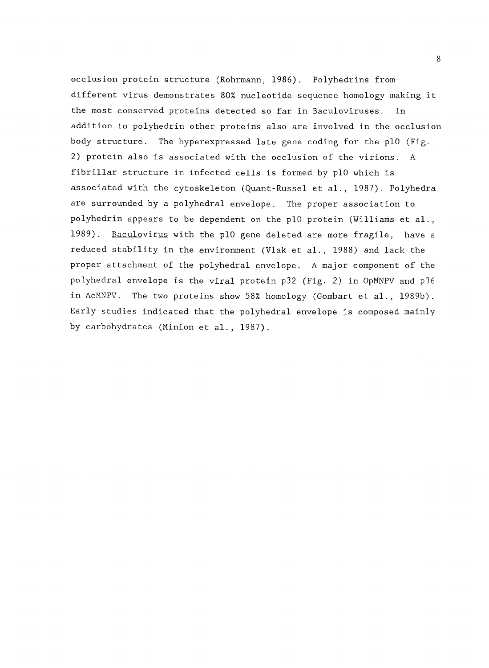occlusion protein structure (Rohrmann, 1986). Polyhedrins from different virus demonstrates 80% nucleotide sequence homology making it the most conserved proteins detected so far in Baculoviruses. In addition to polyhedrin other proteins also are involved in the occlusion body structure. The hyperexpressed late gene coding for the p10 (Fig. 2) protein also is associated with the occlusion of the virions. A fibrillar structure in infected cells is formed by p10 which is associated with the cytoskeleton (Quant-Russel et al., 1987). Polyhedra are surrounded by a polyhedral envelope. The proper association to polyhedrin appears to be dependent on the p10 protein (Williams et al., 1989). Baculovirus with the pl0 gene deleted are more fragile, have a reduced stability in the environment (Vlak et al., 1988) and lack the proper attachment of the polyhedral envelope. A major component of the polyhedral envelope is the viral protein p32 (Fig. 2) in OpMNPV and p36 in AcMNPV. The two proteins show 58% homology (Gombart et al., 1989b). Early studies indicated that the polyhedral envelope is composed mainly by carbohydrates (Minion et al., 1987).

8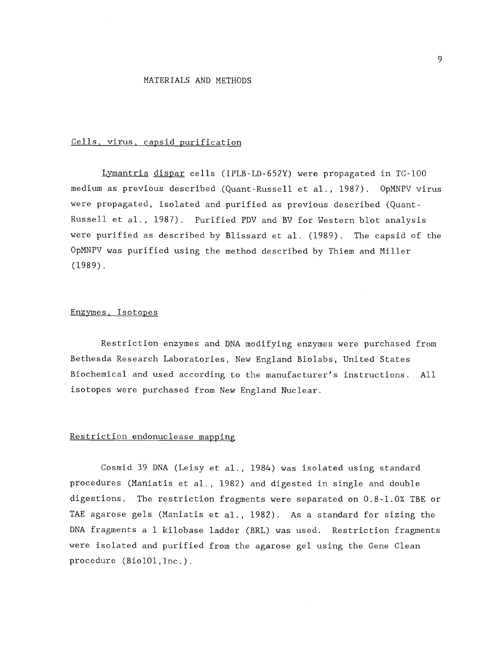### MATERIALS AND METHODS

### Cells, virus, capsid purification

Lymantria dispar cells (IPLB-LD-652Y) were propagated in TC-100 medium as previous described (Quant-Russell et al., 1987). OpMNPV virus were propagated, isolated and purified as previous described (Quant-Russell et al., 1987). Purified PDV and BV for Western blot analysis were purified as described by Blissard et al. (1989). The capsid of the OpMNPV was purified using the method described by Thiem and Miller (1989).

### Enzymes, Isotopes

Restriction enzymes and DNA modifying enzymes were purchased from Bethesda Research Laboratories, New England Biolabs, United States Biochemical and used according to the manufacturer's instructions. All isotopes were purchased from New England Nuclear.

### Restriction endonuclease mapping

Cosmid 39 DNA (Leisy et al., 1984) was isolated using standard procedures (Maniatis et al., 1982) and digested in single and double digestions. The restriction fragments were separated on 0.8-1.0% TBE or TAE agarose gels (Maniatis et al., 1982). As a standard for sizing the DNA fragments a 1 kilobase ladder (BRL) was used. Restriction fragments were isolated and purified from the agarose gel using the Gene Clean procedure (Bio101,Inc.).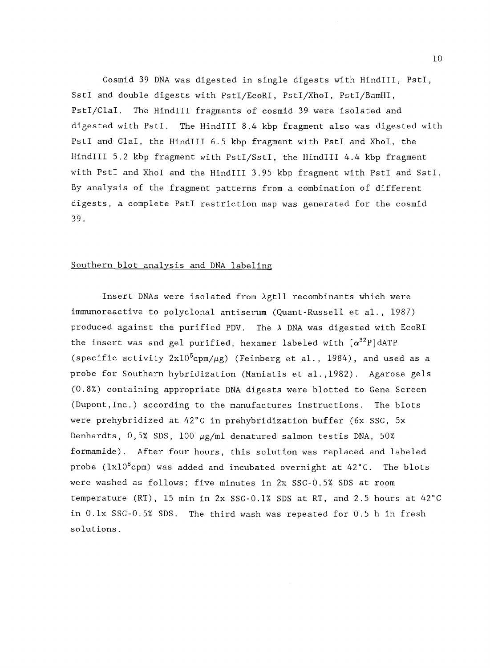Cosmid 39 DNA was digested in single digests with HindIll, PstI, SstI and double digests with PstI/EcoRI, PstI/XhoI, PstI/BamHI, PstI/ClaI. The HindIll fragments of cosmid 39 were isolated and digested with PstI. The HindIll 8.4 kbp fragment also was digested with PstI and Clal, the HindlIl 6.5 kbp fragment with PstI and XhoI, the HindIll 5.2 kbp fragment with PstI/SstI, the HindlIl 4.4 kbp fragment with PstI and XhoI and the HindIll 3.95 kbp fragment with PstI and SstI. By analysis of the fragment patterns from a combination of different digests, a complete PstI restriction map was generated for the cosmid 39.

# Southern blot analysis and DNA labeling

Insert DNAs were isolated from Agtll recombinants which were immunoreactive to polyclonal antiserum (Quant-Russell et al., 1987) produced against the purified PDV. The  $\lambda$  DNA was digested with EcoRI the insert was and gel purified, hexamer labeled with  $\left[\alpha^{32}P\right]$ dATP (specific activity  $2x10^6$ cpm/ $\mu$ g) (Feinberg et al., 1984), and used as a probe for Southern hybridization (Maniatis et al.,1982). Agarose gels (0.8%) containing appropriate DNA digests were blotted to Gene Screen (Dupont,Inc.) according to the manufactures instructions. The blots were prehybridized at 42°C in prehybridization buffer (6x SSC, 5x Denhardts,  $0,5\%$  SDS, 100  $\mu$ g/ml denatured salmon testis DNA, 50% formamide). After four hours, this solution was replaced and labeled probe ( $1x10^6$ cpm) was added and incubated overnight at  $42^{\circ}$ C. The blots were washed as follows: five minutes in 2x SSC-0.5% SDS at room temperature (RT), 15 min in 2x SSC-0.1% SDS at RT, and 2.5 hours at 42°C in 0.1x SSC-0.5% SDS. The third wash was repeated for 0.5 h in fresh solutions.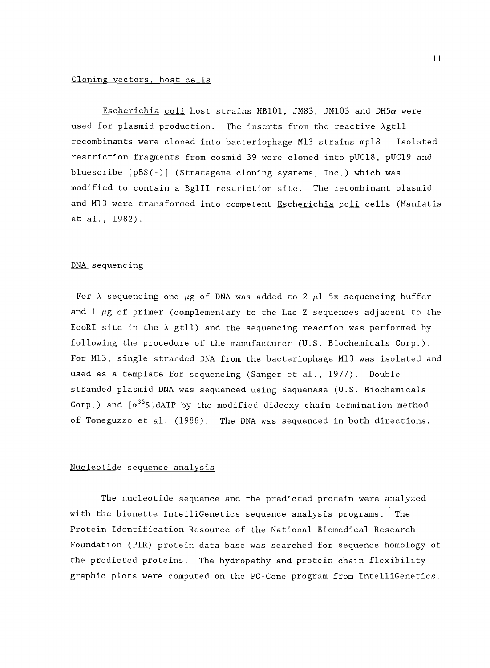### Cloning vectors, host cells

Escherichia coli host strains HB101, JM83, JM103 and DH5 $\alpha$  were used for plasmid production. The inserts from the reactive Agtll recombinants were cloned into bacteriophage M13 strains mpl8. Isolated restriction fragments from cosmid 39 were cloned into pUC18, pUC19 and bluescribe [pBS(-)] (Stratagene cloning systems, Inc.) which was modified to contain a BglII restriction site. The recombinant plasmid and M13 were transformed into competent Escherichia coli cells (Maniatis et al., 1982).

#### DNA sequencing

For  $\lambda$  sequencing one  $\mu$ g of DNA was added to 2  $\mu$ 1 5x sequencing buffer and  $1 \mu g$  of primer (complementary to the Lac Z sequences adjacent to the EcoRI site in the  $\lambda$  gtll) and the sequencing reaction was performed by following the procedure of the manufacturer (U.S. Biochemicals Corp.). For M13, single stranded DNA from the bacteriophage M13 was isolated and used as a template for sequencing (Sanger et al., 1977). Double stranded plasmid DNA was sequenced using Sequenase (U.S. Biochemicals Corp.) and  $\left[\alpha^{35}S\right]$ dATP by the modified dideoxy chain termination method of Toneguzzo et al. (1988). The DNA was sequenced in both directions.

### Nucleotide sequence analysis

The nucleotide sequence and the predicted protein were analyzed with the bionette IntelliGenetics sequence analysis programs. The Protein Identification Resource of the National Biomedical Research Foundation (PIR) protein data base was searched for sequence homology of the predicted proteins. The hydropathy and protein chain flexibility graphic plots were computed on the PC-Gene program from IntelliGenetics.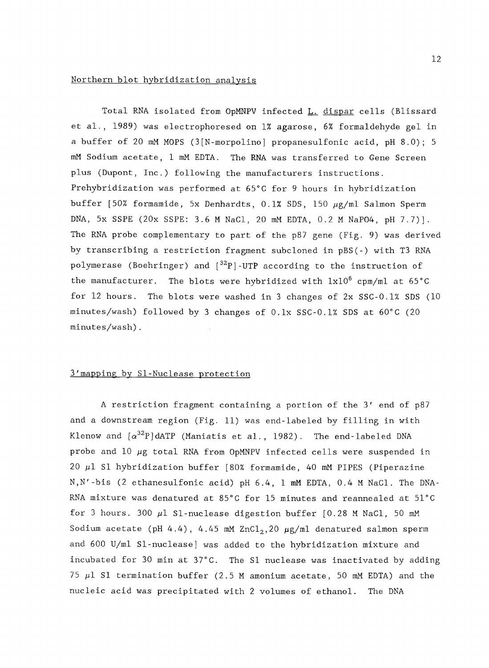### Northern blot hybridization analysis

Total RNA isolated from OpMNPV infected L. dispar cells (Blissard et al., 1989) was electrophoresed on 1% agarose, 6% formaldehyde gel in a buffer of 20 mM MOPS (3[N-morpolino] propanesulfonic acid, pH 8.0); 5 mM Sodium acetate, 1 mM EDTA. The RNA was transferred to Gene Screen plus (Dupont, Inc.) following the manufacturers instructions. Prehybridization was performed at 65°C for 9 hours in hybridization buffer [50% formamide, 5x Denhardts, 0.1% SDS, 150  $\mu$ g/ml Salmon Sperm DNA, 5x SSPE (20x SSPE: 3.6 M NaCl, 20 mM EDTA, 0.2 M NaPO4, pH 7.7)]. The RNA probe complementary to part of the p87 gene (Fig. 9) was derived by transcribing a restriction fragment subcloned in pBS(-) with T3 RNA polymerase (Boehringer) and  $[{}^{32}P]$ -UTP according to the instruction of the manufacturer. The blots were hybridized with  $1x10^6$  cpm/ml at  $65^{\circ}$ C for 12 hours. The blots were washed in 3 changes of  $2x$  SSC-0.1% SDS (10 minutes/wash) followed by 3 changes of 0.1x SSC-0.1% SDS at 60°C (20 minutes/wash).

### 3'mapping by Sl-Nuclease protection

A restriction fragment containing a portion of the 3' end of p87 and a downstream region (Fig. 11) was end-labeled by filling in with Klenow and  $\lceil \alpha^{32}P \rceil$ dATP (Maniatis et al., 1982). The end-labeled DNA probe and  $10 \mu g$  total RNA from OpMNPV infected cells were suspended in 20  $\mu$ 1 S1 hybridization buffer [80% formamide, 40 mM PIPES (Piperazine N,N'-bis (2 ethanesulfonic acid) pH 6.4, 1 mM EDTA, 0.4 M NaCl. The DNA-RNA mixture was denatured at 85°C for 15 minutes and reannealed at 51°C for 3 hours. 300  $\mu$ 1 S1-nuclease digestion buffer [0.28 M NaC1, 50 mM Sodium acetate (pH 4.4), 4.45 mM ZnCl<sub>2</sub>,20  $\mu$ g/ml denatured salmon sperm and 600 U/ml Sl-nuclease] was added to the hybridization mixture and incubated for 30 min at 37°C. The S1 nuclease was inactivated by adding 75  $\mu$ 1 S1 termination buffer (2.5 M amonium acetate, 50 mM EDTA) and the nucleic acid was precipitated with 2 volumes of ethanol. The DNA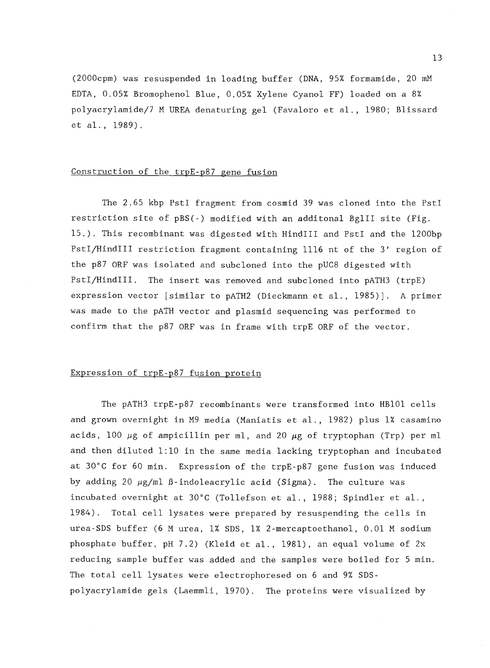(2000cpm) was resuspended in loading buffer (DNA, 95% formamide, 20 mM EDTA, 0.05% Bromophenol Blue, 0.05% Xylene Cyanol FF) loaded on a 8% polyacrylamide/7 M UREA denaturing gel (Favaloro et al., 1980; Blissard et al., 1989).

### Construction of the trpE-p87 gene fusion

The 2.65 kbp PstI fragment from cosmid 39 was cloned into the PstI restriction site of pBS(-) modified with an additonal BglII site (Fig. 15.). This recombinant was digested with HindIII and PstI and the 1200bp PstI/HindIII restriction fragment containing 1116 nt of the 3' region of the p87 ORF was isolated and subcloned into the pUC8 digested with PstI/HindIII. The insert was removed and subcloned into pATH3 (trpE) expression vector [similar to pATH2 (Dieckmann et al., 1985)]. A primer was made to the pATH vector and plasmid sequencing was performed to confirm that the p87 ORF was in frame with trpE ORF of the vector.

### Expression of trpE-p87 fusion protein

The pATH3 trpE-p87 recombinants were transformed into HB101 cells and grown overnight in M9 media (Maniatis et al., 1982) plus 1% casamino acids, 100  $\mu$ g of ampicillin per ml, and 20  $\mu$ g of tryptophan (Trp) per ml and then diluted 1:10 in the same media lacking tryptophan and incubated at 30°C for 60 min. Expression of the trpE-p87 gene fusion was induced by adding 20  $\mu$ g/ml ß-indoleacrylic acid (Sigma). The culture was incubated overnight at 30°C (Tollefson et al., 1988; Spindler et al., 1984). Total cell lysates were prepared by resuspending the cells in urea-SDS buffer (6 M urea, 1% SDS, 1% 2-mercaptoethanol, 0.01 M sodium phosphate buffer, pH 7.2) (Kleid et al., 1981), an equal volume of 2x reducing sample buffer was added and the samples were boiled for 5 min. The total cell lysates were electrophoresed on 6 and 9% SDSpolyacrylamide gels (Laemmli, 1970). The proteins were visualized by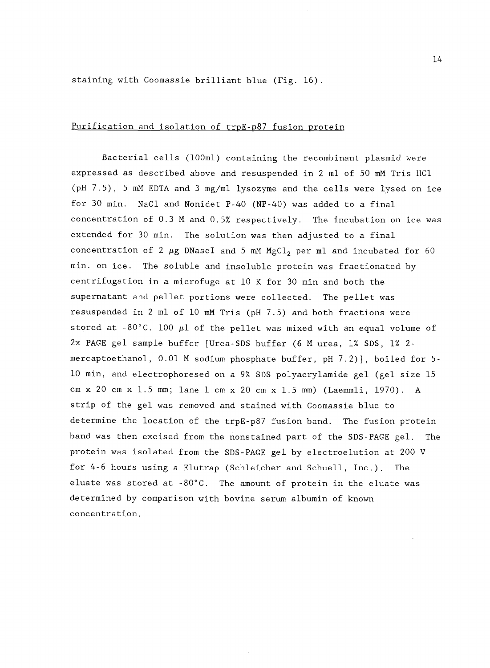staining with Coomassie brilliant blue (Fig. 16).

### Purification and isolation of trpE-p87 fusion protein

Bacterial cells (100m1) containing the recombinant plasmid were expressed as described above and resuspended in 2 ml of 50 mM Tris HC1 (pH 7.5), 5 mM EDTA and 3 mg/ml lysozyme and the cells were lysed on ice for 30 min. NaC1 and Nonidet P-40 (NP-40) was added to a final concentration of 0.3 M and 0.5% respectively. The incubation on ice was extended for 30 min. The solution was then adjusted to a final concentration of 2  $\mu$ g DNaseI and 5 mM MgCl<sub>2</sub> per ml and incubated for 60 min. on ice. The soluble and insoluble protein was fractionated by centrifugation in a microfuge at 10 K for 30 min and both the supernatant and pellet portions were collected. The pellet was resuspended in 2 ml of 10 mM Tris (pH 7.5) and both fractions were stored at -80°C. 100  $\mu$ 1 of the pellet was mixed with an equal volume of 2x PAGE gel sample buffer [Urea-SDS buffer (6 M urea, 1% SDS, 1% 2 mercaptoethanol, 0.01 M sodium phosphate buffer, pH 7.2)], boiled for 5- 10 min, and electrophoresed on a 9% SDS polyacrylamide gel (gel size 15 cm x 20 cm x 1.5 mm; lane 1 cm x 20 cm x 1.5 mm) (Laemmli, 1970). A strip of the gel was removed and stained with Coomassie blue to determine the location of the trpE-p87 fusion band. The fusion protein band was then excised from the nonstained part of the SDS-PAGE gel. The protein was isolated from the SDS-PAGE gel by electroelution at 200 V for 4-6 hours using a Elutrap (Schleicher and Schuell, Inc.). The eluate was stored at -80°C. The amount of protein in the eluate was determined by comparison with bovine serum albumin of known concentration.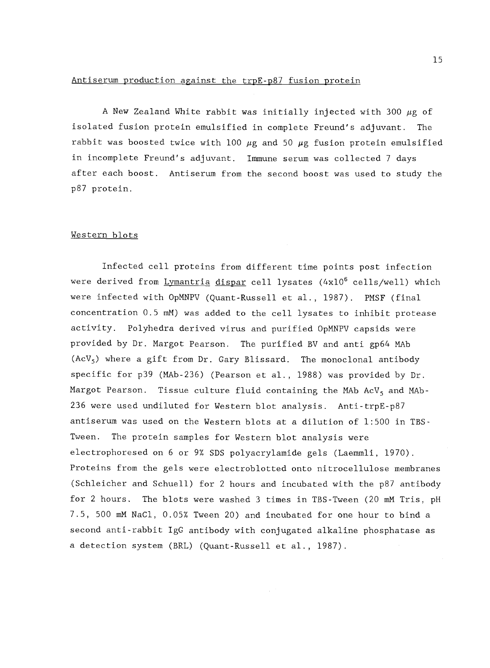# Antiserum production against the trpE-p87 fusion protein

A New Zealand White rabbit was initially injected with 300  $\mu$ g of isolated fusion protein emulsified in complete Freund's adjuvant. The rabbit was boosted twice with 100  $\mu$ g and 50  $\mu$ g fusion protein emulsified in incomplete Freund's adjuvant. Immune serum was collected 7 days after each boost. Antiserum from the second boost was used to study the p87 protein.

### Western blots

Infected cell proteins from different time points post infection were derived from Lymantria dispar cell lysates (4x10<sup>6</sup> cells/well) which were infected with OpMNPV (Quant-Russell et al., 1987). PMSF (final concentration 0.5 mM) was added to the cell lysates to inhibit protease activity. Polyhedra derived virus and purified OpMNPV capsids were provided by Dr. Margot Pearson. The purified BV and anti gp64 MAb  $(ACV_5)$  where a gift from Dr. Gary Blissard. The monoclonal antibody specific for p39 (MAb-236) (Pearson et al., 1988) was provided by Dr. Margot Pearson. Tissue culture fluid containing the MAb AcV<sub>5</sub> and MAb-236 were used undiluted for Western blot analysis. Anti-trpE-p87 antiserum was used on the Western blots at a dilution of 1:500 in TBS-Tween. The protein samples for Western blot analysis were electrophoresed on 6 or 97 SDS polyacrylamide gels (Laemmli, 1970). Proteins from the gels were electroblotted onto nitrocellulose membranes (Schleicher and Schuell) for 2 hours and incubated with the p87 antibody for 2 hours, The blots were washed 3 times in TBS-Tween (20 mM Tris, pH 7.5, 500 mM NaCl, 0.05% Tween 20) and incubated for one hour to bind a second anti-rabbit IgG antibody with conjugated alkaline phosphatase as a detection system (BRL) (Quant-Russell et al., 1987).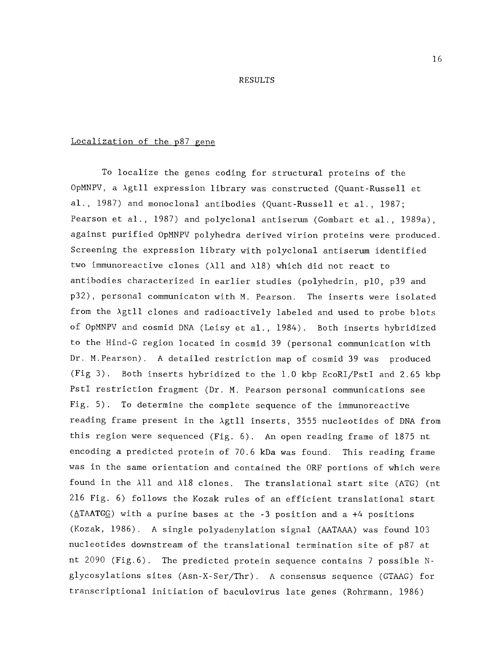#### RESULTS

#### Localization of the p87 gene

To localize the genes coding for structural proteins of the OpMNPV, a Agtll expression library was constructed (Quant-Russell et al., 1987) and monoclonal antibodies (Quant-Russell et al., 1987; Pearson et al., 1987) and polyclonal antiserum (Gombart et al., 1989a), against purified OpMNPV polyhedra derived virion proteins were produced. Screening the expression library with polyclonal antiserum identified two immunoreactive clones ( $\lambda$ ll and  $\lambda$ 18) which did not react to antibodies characterized in earlier studies (polyhedrin, p10, p39 and p32), personal communicaton with M. Pearson. The inserts were isolated from the Agtll clones and radioactively labeled and used to probe blots of OpMNPV and cosmid DNA (Leisy et al., 1984). Both inserts hybridized to the Hind-G region located in cosmid 39 (personal communication with Dr. M.Pearson). A detailed restriction map of cosmid 39 was produced (Fig 3). Both inserts hybridized to the 1.0 kbp EcoRI/PstI and 2.65 kbp PstI restriction fragment (Dr. M. Pearson personal communications see Fig. 5). To determine the complete sequence of the immunoreactive reading frame present in the Agtll inserts, 3555 nucleotides of DNA from this region were sequenced (Fig. 6). An open reading frame of 1875 nt encoding a predicted protein of 70.6 kDa was found. This reading frame was in the same orientation and contained the ORF portions of which were found in the  $\lambda$ 11 and  $\lambda$ 18 clones. The translational start site (ATG) (nt 216 Fig. 6) follows the Kozak rules of an efficient translational start  $(ATAATGG)$  with a purine bases at the -3 position and a +4 positions (Kozak, 1986). A single polyadenylation signal (AATAAA) was found 103 nucleotides downstream of the translational termination site of p87 at nt 2090 (Fig.6). The predicted protein sequence contains 7 possible Nglycosylations sites (Asn-X-Ser/Thr). A consensus sequence (GTAAG) for transcriptional initiation of baculovirus late genes (Rohrmann, 1986)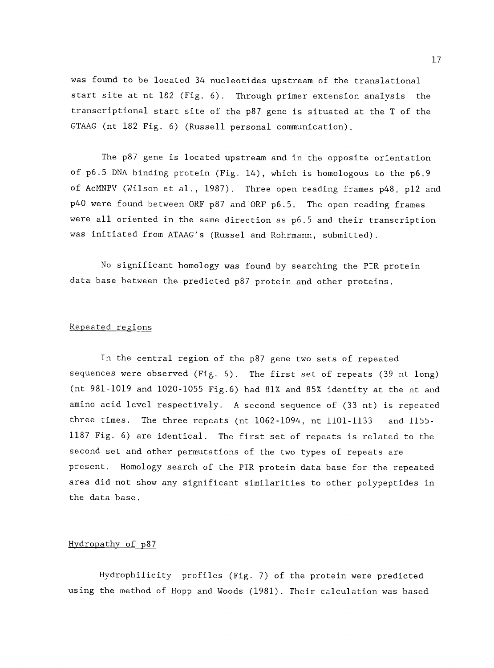was found to be located 34 nucleotides upstream of the translational start site at nt 182 (Fig. 6). Through primer extension analysis the transcriptional start site of the p87 gene is situated at the T of the GTAAG (nt 182 Fig. 6) (Russell personal communication).

The p87 gene is located upstream and in the opposite orientation of p6.5 DNA binding protein (Fig. 14), which is homologous to the p6.9 of AcMNPV (Wilson et al., 1987). Three open reading frames p48, p12 and p40 were found between ORF p87 and ORF p6.5. The open reading frames were all oriented in the same direction as p6.5 and their transcription was initiated from ATAAG's (Russel and Rohrmann, submitted).

No significant homology was found by searching the PIR protein data base between the predicted p87 protein and other proteins.

### Repeated regions

In the central region of the p87 gene two sets of repeated sequences were observed (Fig. 6). The first set of repeats (39 nt long) (nt 981-1019 and 1020-1055 Fig.6) had 81% and 85% identity at the nt and amino acid level respectively. A second sequence of (33 nt) is repeated three times. The three repeats (nt 1062-1094, nt 1101-1133 and 1155- 1187 Fig. 6) are identical. The first set of repeats is related to the second set and other permutations of the two types of repeats are present. Homology search of the PIR protein data base for the repeated area did not show any significant similarities to other polypeptides in the data base.

### Hydropathy of p87

Hydrophilicity profiles (Fig. 7) of the protein were predicted using the method of Hopp and Woods (1981). Their calculation was based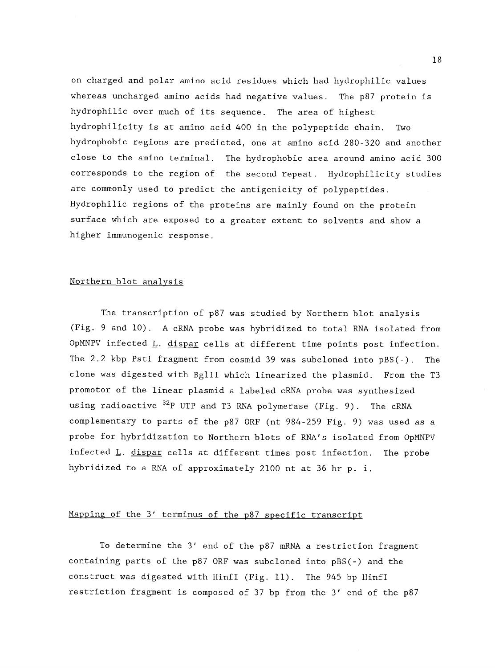on charged and polar amino acid residues which had hydrophilic values whereas uncharged amino acids had negative values. The p87 protein is hydrophilic over much of its sequence. The area of highest hydrophilicity is at amino acid 400 in the polypeptide chain. Two hydrophobic regions are predicted, one at amino acid 280-320 and another close to the amino terminal. The hydrophobic area around amino acid 300 corresponds to the region of the second repeat. Hydrophilicity studies are commonly used to predict the antigenicity of polypeptides. Hydrophilic regions of the proteins are mainly found on the protein surface which are exposed to a greater extent to solvents and show a higher immunogenic response.

## Northern blot analysis

The transcription of p87 was studied by Northern blot analysis (Fig. 9 and 10). A cRNA probe was hybridized to total RNA isolated from OpMNPV infected L. dispar cells at different time points post infection. The 2.2 kbp PstI fragment from cosmid 39 was subcloned into pBS(-). The clone was digested with BglII which linearized the plasmid. From the T3 promotor of the linear plasmid a labeled cRNA probe was synthesized using radioactive <sup>32</sup>P UTP and T3 RNA polymerase (Fig. 9). The cRNA complementary to parts of the p87 ORF (nt 984-259 Fig. 9) was used as a probe for hybridization to Northern blots of RNA's isolated from OpMNPV infected L. dispar cells at different times post infection. The probe hybridized to a RNA of approximately 2100 nt at 36 hr p. i.

# Mapping of the 3' terminus of the p87 specific transcript

To determine the 3' end of the p87 mRNA a restriction fragment containing parts of the p87 ORF was subcloned into pBS(-) and the construct was digested with Hinfl (Fig. 11). The 945 by Hinfl restriction fragment is composed of 37 by from the 3' end of the p87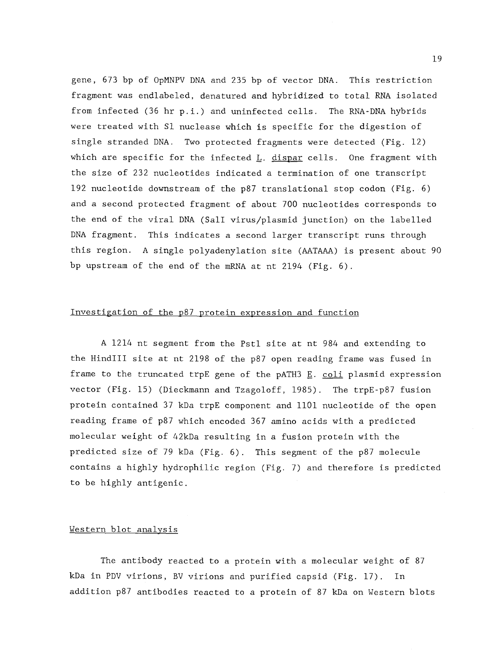gene, 673 by of OpMNPV DNA and 235 by of vector DNA. This restriction fragment was endlabeled, denatured and hybridized to total RNA isolated from infected (36 hr p.i.) and uninfected cells. The RNA-DNA hybrids were treated with S1 nuclease which is specific for the digestion of single stranded DNA. Two protected fragments were detected (Fig. 12) which are specific for the infected  $L$ . dispar cells. One fragment with the size of 232 nucleotides indicated a termination of one transcript 192 nucleotide downstream of the p87 translational stop codon (Fig. 6) and a second protected fragment of about 700 nucleotides corresponds to the end of the viral DNA (Sall virus/plasmid junction) on the labelled DNA fragment. This indicates a second larger transcript runs through this region. A single polyadenylation site (AATAAA) is present about 90 by upstream of the end of the mRNA at nt 2194 (Fig. 6).

### Investigation of the p87 protein expression and function

A 1214 nt segment from the Pstl site at nt 984 and extending to the HindIII site at nt 2198 of the p87 open reading frame was fused in frame to the truncated trpE gene of the pATH3  $E$ . coli plasmid expression vector (Fig. 15) (Dieckmann and Tzagoloff, 1985). The trpE-p87 fusion protein contained 37 kDa trpE component and 1101 nucleotide of the open reading frame of p87 which encoded 367 amino acids with a predicted molecular weight of 42kDa resulting in a fusion protein with the predicted size of 79 kDa (Fig. 6). This segment of the p87 molecule contains a highly hydrophilic region (Fig. 7) and therefore is predicted to be highly antigenic.

### Western blot analysis

The antibody reacted to a protein with a molecular weight of 87 kDa in PDV virions, BV virions and purified capsid (Fig. 17). In addition p87 antibodies reacted to a protein of 87 kDa on Western blots

19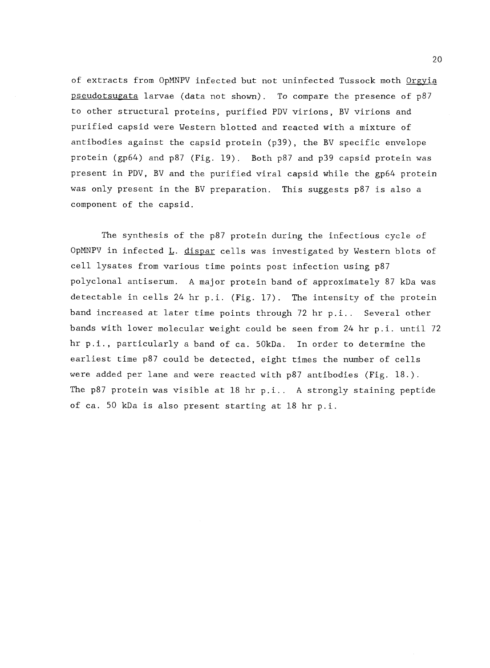of extracts from OpMNPV infected but not uninfected Tussock moth Orgyia pseudotsugata larvae (data not shown). To compare the presence of p87 to other structural proteins, purified PDV virions, BV virions and purified capsid were Western blotted and reacted with a mixture of antibodies against the capsid protein (p39), the BV specific envelope protein (gp64) and p87 (Fig. 19). Both p87 and p39 capsid protein was present in PDV, BV and the purified viral capsid while the gp64 protein was only present in the BV preparation. This suggests p87 is also a component of the capsid.

The synthesis of the p87 protein during the infectious cycle of OpMNPV in infected L. dispar cells was investigated by Western blots of cell lysates from various time points post infection using p87 polyclonal antiserum. A major protein band of approximately 87 kDa was detectable in cells 24 hr p.i. (Fig. 17). The intensity of the protein band increased at later time points through 72 hr p.i.. Several other bands with lower molecular weight could be seen from 24 hr p.i. until 72 hr p.i., particularly a band of ca. 50kDa. In order to determine the earliest time p87 could be detected, eight times the number of cells were added per lane and were reacted with  $p87$  antibodies (Fig. 18.). The p87 protein was visible at 18 hr p.i.. A strongly staining peptide of ca. 50 kDa is also present starting at 18 hr p.i.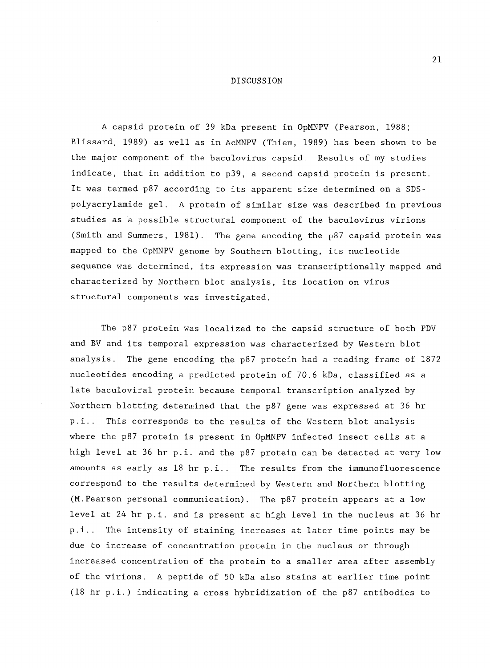#### DISCUSSION

A capsid protein of 39 kDa present in OpMNPV (Pearson, 1988; Blissard, 1989) as well as in AcMNPV (Thiem, 1989) has been shown to be the major component of the baculovirus capsid. Results of my studies indicate, that in addition to p39, a second capsid protein is present. It was termed p87 according to its apparent size determined on a SDSpolyacrylamide gel. A protein of similar size was described in previous studies as a possible structural component of the baculovirus virions (Smith and Summers, 1981). The gene encoding the p87 capsid protein was mapped to the OpMNPV genome by Southern blotting, its nucleotide sequence was determined, its expression was transcriptionally mapped and characterized by Northern blot analysis, its location on virus structural components was investigated.

The p87 protein was localized to the capsid structure of both PDV and BV and its temporal expression was characterized by Western blot analysis. The gene encoding the p87 protein had a reading frame of 1872 nucleotides encoding a predicted protein of 70.6 kDa, classified as a late baculoviral protein because temporal transcription analyzed by Northern blotting determined that the p87 gene was expressed at 36 hr p.i.. This corresponds to the results of the Western blot analysis where the p87 protein is present in OpMNPV infected insect cells at a high level at 36 hr p.i. and the p87 protein can be detected at very low amounts as early as 18 hr p.i.. The results from the immunofluorescence correspond to the results determined by Western and Northern blotting (M.Pearson personal communication). The p87 protein appears at a low level at 24 hr p.i. and is present at high level in the nucleus at 36 hr p.i.. The intensity of staining increases at later time points may be due to increase of concentration protein in the nucleus or through increased concentration of the protein to a smaller area after assembly of the virions. A peptide of 50 kDa also stains at earlier time point (18 hr p.i.) indicating a cross hybridization of the p87 antibodies to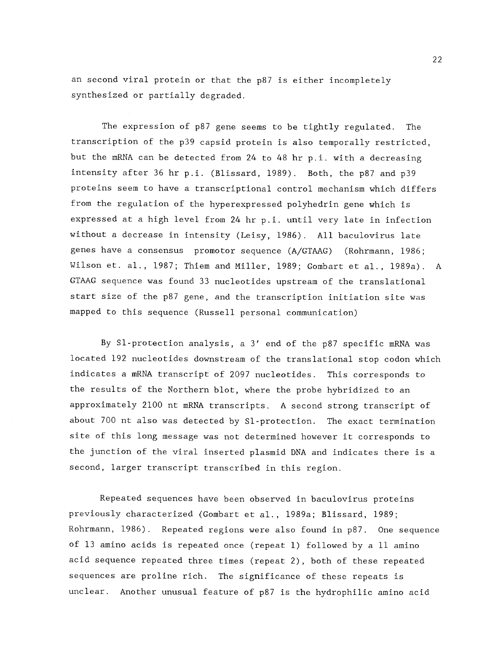an second viral protein or that the p87 is either incompletely synthesized or partially degraded.

The expression of p87 gene seems to be tightly regulated. The transcription of the p39 capsid protein is also temporally restricted, but the mRNA can be detected from 24 to 48 hr p.i. with a decreasing intensity after 36 hr p.i. (Blissard, 1989). Both, the p87 and p39 proteins seem to have a transcriptional control mechanism which differs from the regulation of the hyperexpressed polyhedrin gene which is expressed at a high level from 24 hr p.i. until very late in infection without a decrease in intensity (Leisy, 1986). All baculovirus late genes have a consensus promotor sequence (A/GTAAG) (Rohrmann, 1986; Wilson et. al., 1987; Thiem and Miller, 1989; Gombart et al., 1989a). A GTAAG sequence was found 33 nucleotides upstream of the translational start size of the p87 gene, and the transcription initiation site was mapped to this sequence (Russell personal communication)

By S1- protection analysis, a 3' end of the p87 specific mRNA was located 192 nucleotides downstream of the translational stop codon which indicates a mRNA transcript of 2097 nucleotides. This corresponds to the results of the Northern blot, where the probe hybridized to an approximately 2100 nt mRNA transcripts. A second strong transcript of about 700 nt also was detected by Sl-protection. The exact termination site of this long message was not determined however it corresponds to the junction of the viral inserted plasmid DNA and indicates there is a second, larger transcript transcribed in this region.

Repeated sequences have been observed in baculovirus proteins previously characterized (Gombart et al., 1989a; Blissard, 1989; Rohrmann, 1986). Repeated regions were also found in p87. One sequence of 13 amino acids is repeated once (repeat 1) followed by a 11 amino acid sequence repeated three times (repeat 2), both of these repeated sequences are proline rich. The significance of these repeats is unclear. Another unusual feature of p87 is the hydrophilic amino acid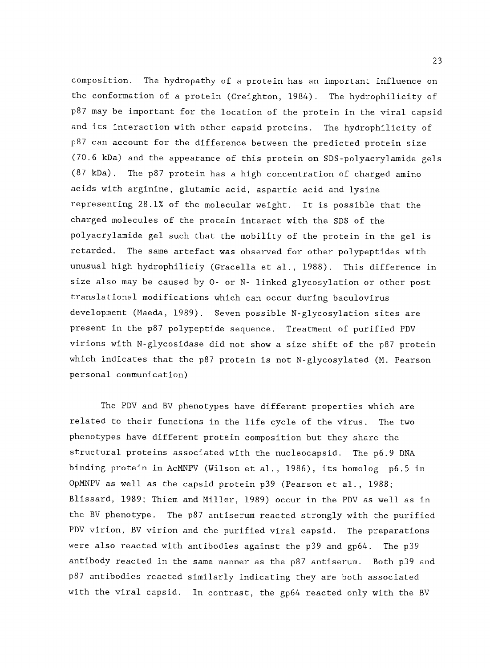composition. The hydropathy of a protein has an important influence on the conformation of a protein (Creighton, 1984). The hydrophilicity of p87 may be important for the location of the protein in the viral capsid and its interaction with other capsid proteins. The hydrophilicity of p87 can account for the difference between the predicted protein size (70.6 kDa) and the appearance of this protein on SDS-polyacrylamide gels (87 kDa). The p87 protein has a high concentration of charged amino acids with arginine, glutamic acid, aspartic acid and lysine representing 28.1% of the molecular weight. It is possible that the charged molecules of the protein interact with the SDS of the polyacrylamide gel such that the mobility of the protein in the gel is retarded. The same artefact was observed for other polypeptides with unusual high hydrophiliciy (Gracella et al., 1988). This difference in size also may be caused by 0- or N- linked glycosylation or other post translational modifications which can occur during baculovirus development (Maeda, 1989). Seven possible N-glycosylation sites are present in the p87 polypeptide sequence. Treatment of purified PDV virions with N-glycosidase did not show a size shift of the p87 protein which indicates that the p87 protein is not N-glycosylated (M. Pearson personal communication)

The PDV and BV phenotypes have different properties which are related to their functions in the life cycle of the virus. The two phenotypes have different protein composition but they share the structural proteins associated with the nucleocapsid. The p6.9 DNA binding protein in AcMNPV (Wilson et al., 1986), its homolog p6.5 in OpMNPV as well as the capsid protein p39 (Pearson et al., 1988; Blissard, 1989; Thiem and Miller, 1989) occur in the PDV as well as in the BV phenotype. The p87 antiserum reacted strongly with the purified PDV virion, BV virion and the purified viral capsid. The preparations were also reacted with antibodies against the p39 and gp64. The p39 antibody reacted in the same manner as the p87 antiserum. Both p39 and p87 antibodies reacted similarly indicating they are both associated with the viral capsid. In contrast, the gp64 reacted only with the BV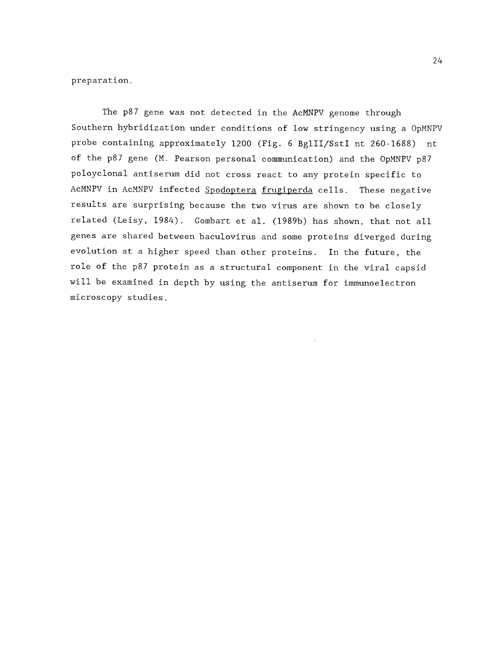preparation.

The p87 gene was not detected in the AcMNPV genome through Southern hybridization under conditions of low stringency using a OpMNPV probe containing approximately 1200 (Fig. 6 BglII/SstI nt 260-1688) nt of the p87 gene (M. Pearson personal communication) and the OpMNPV p87 poloyclonal antiserum did not cross react to any protein specific to AcMNPV in AcMNPV infected Spodoptera frugiperda cells. These negative results are surprising because the two virus are shown to be closely related (Leisy, 1984). Gombart et al. (1989b) has shown, that not all genes are shared between baculovirus and some proteins diverged during evolution at a higher speed than other proteins. In the future, the role of the p87 protein as a structural component in the viral capsid will be examined in depth by using the antiserum for immunoelectron microscopy studies.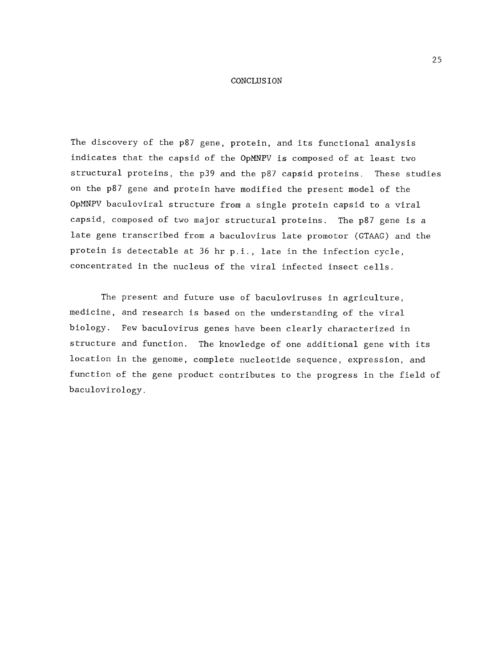#### **CONCLUSION**

The discovery of the p87 gene, protein, and its functional analysis indicates that the capsid of the OpMNPV is composed of at least two structural proteins, the p39 and the p87 capsid proteins. These studies on the p87 gene and protein have modified the present model of the OpMNPV baculoviral structure from a single protein capsid to a viral capsid, composed of two major structural proteins. The p87 gene is a late gene transcribed from a baculovirus late promotor (GTAAG) and the protein is detectable at 36 hr p.i., late in the infection cycle, concentrated in the nucleus of the viral infected insect cells.

The present and future use of baculoviruses in agriculture, medicine, and research is based on the understanding of the viral biology. Few baculovirus genes have been clearly characterized in structure and function. The knowledge of one additional gene with its location in the genome, complete nucleotide sequence, expression, and function of the gene product contributes to the progress in the field of baculovirology.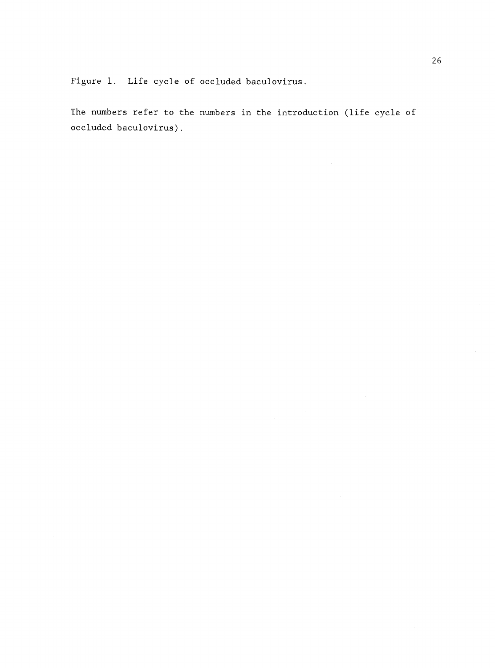Figure 1. Life cycle of occluded baculovirus.

The numbers refer to the numbers in the introduction (life cycle of occluded baculovirus).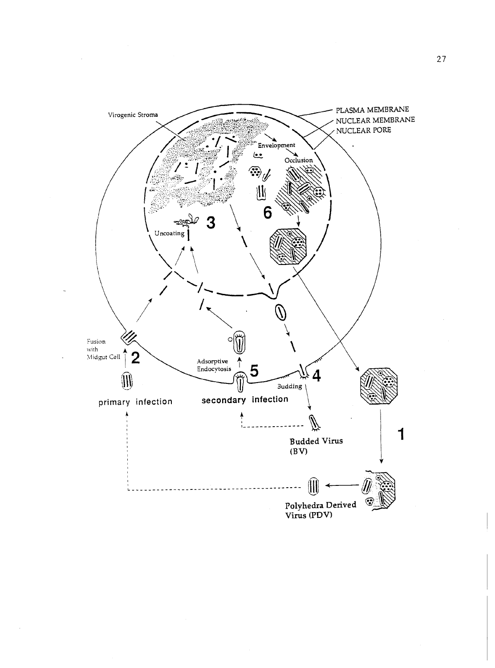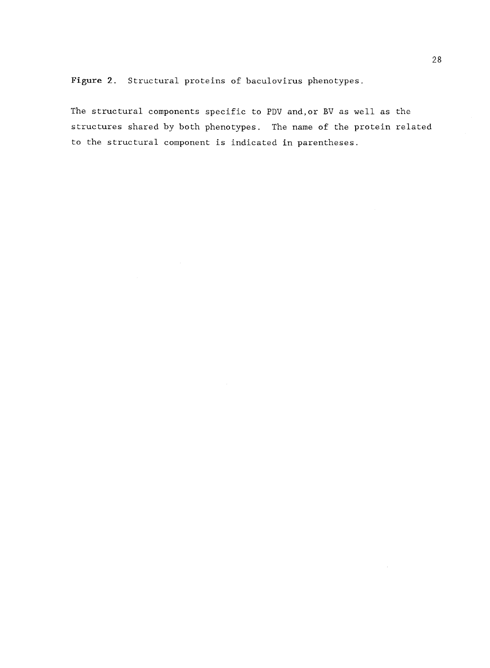Figure 2. Structural proteins of baculovirus phenotypes.

The structural components specific to PDV and,or BV as well as the structures shared by both phenotypes. The name of the protein related to the structural component is indicated in parentheses.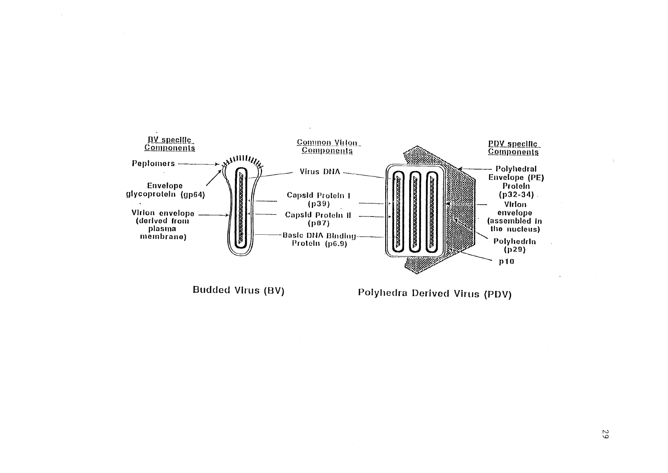

Budded Virus (BV)

Polyhedra Derived Virus (PDV)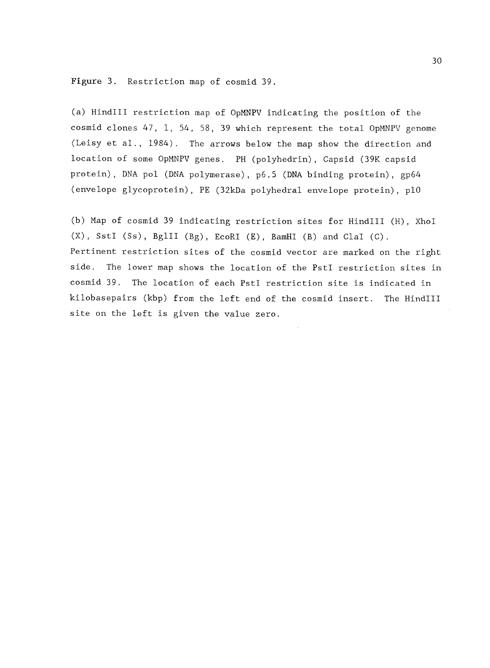Figure 3. Restriction map of cosmid 39.

(a) HindIII restriction map of OpMNPV indicating the position of the cosmid clones 47, 1, 54, 58, 39 which represent the total OpMNPV genome (Leisy et al., 1984). The arrows below the map show the direction and location of some OpMNPV genes. PH (polyhedrin), Capsid (39K capsid protein), DNA pol (DNA polymerase), p6.5 (DNA binding protein), gp64 (envelope glycoprotein), PE (32kDa polyhedral envelope protein), p10

(b) Map of cosmid 39 indicating restriction sites for HindIII (H), XhoI (X), SstI (Ss), BglII (Bg), EcoRI (E), BamHI (B) and Clal (C). Pertinent restriction sites of the cosmid vector are marked on the right side. The lower map shows the location of the PstI restriction sites in cosmid 39. The location of each PstI restriction site is indicated in kilobasepairs (kbp) from the left end of the cosmid insert. The HindIII site on the left is given the value zero.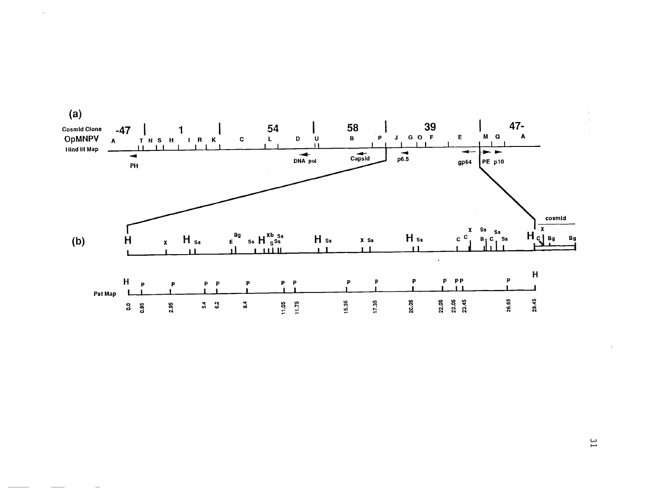

 $\frac{2}{1}$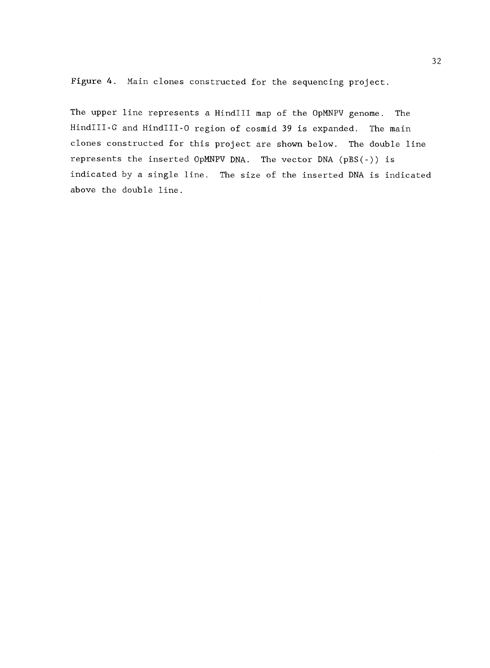Figure 4. Main clones constructed for the sequencing project.

The upper line represents a HindIII map of the OpMNPV genome. The HindIII-G and HindIII-0 region of cosmid 39 is expanded. The main clones constructed for this project are shown below. The double line represents the inserted OpMNPV DNA. The vector DNA (pBS(-)) is indicated by a single line. The size of the inserted DNA is indicated above the double line.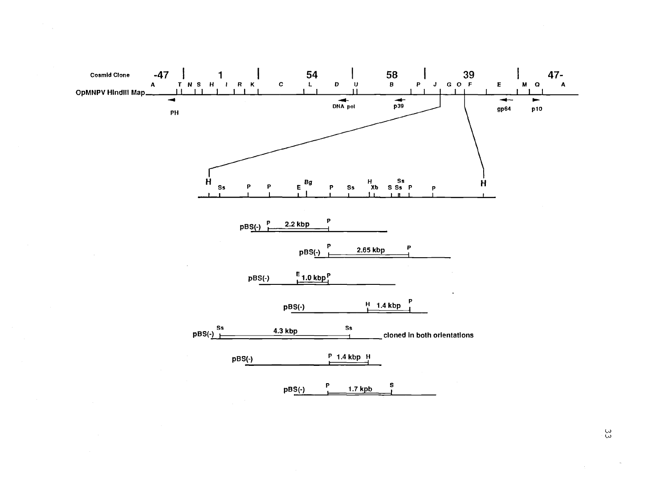

ပ္ပ

 $\bar{u}$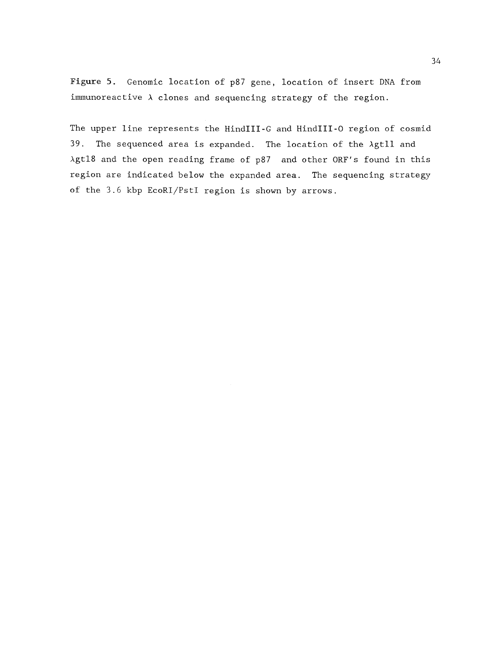Figure 5. Genomic location of p87 gene, location of insert DNA from immunoreactive  $\lambda$  clones and sequencing strategy of the region.

The upper line represents the HindIII-G and HindIII-0 region of cosmid 39. The sequenced area is expanded. The location of the Agtll and Agtl8 and the open reading frame of p87 and other ORF's found in this region are indicated below the expanded area. The sequencing strategy of the 3.6 kbp EcoRI/PstI region is shown by arrows.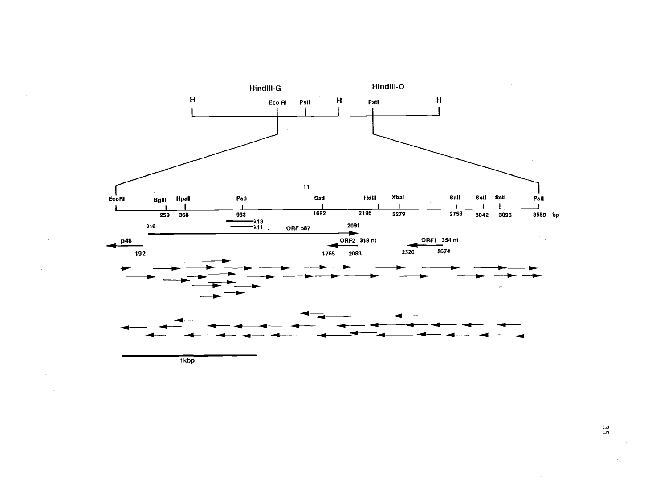

ပ္ပ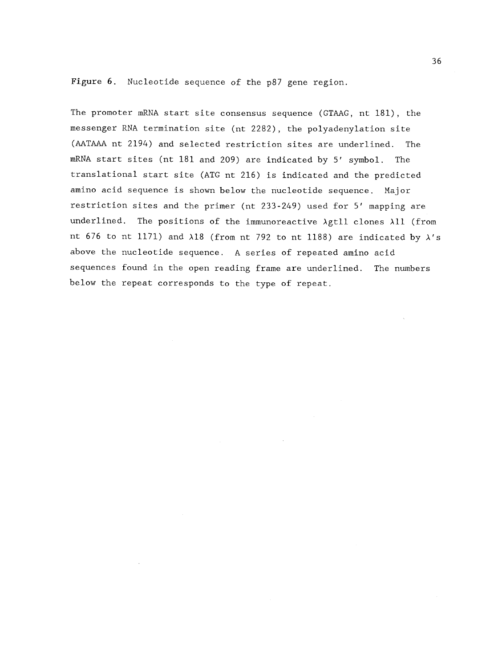Figure 6. Nucleotide sequence of the p87 gene region.

The promoter mRNA start site consensus sequence (GTAAG, nt 181), the messenger RNA termination site (nt 2282), the polyadenylation site (AATAAA nt 2194) and selected restriction sites are underlined. The mRNA start sites (nt 181 and 209) are indicated by 5' symbol. The translational start site (ATG nt 216) is indicated and the predicted amino acid sequence is shown below the nucleotide sequence. Major restriction sites and the primer (nt 233-249) used for 5' mapping are underlined. The positions of the immunoreactive Agtll clones All (from nt 676 to nt 1171) and  $\lambda$ 18 (from nt 792 to nt 1188) are indicated by  $\lambda$ 's above the nucleotide sequence. A series of repeated amino acid sequences found in the open reading frame are underlined. The numbers below the repeat corresponds to the type of repeat.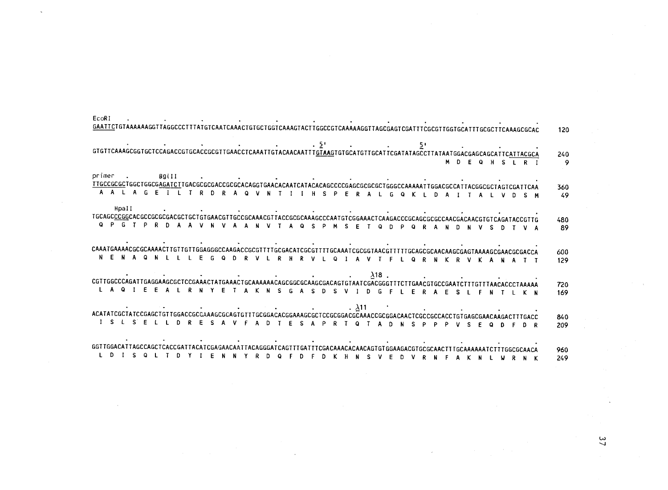| <u>GAATTC</u> TGTAAAAAAGGTTAGGCCCTTTATGTCAATCAAACTGTGCTGGTCAAAGTACTTGGCCGTCAAAAAGGTTAGCGAGTCGATTTCGCGTTGGTGCATTTGCGCTTCAAAGCGCAC                                                                                                                                                                                                                                                                                                                                                                                                                                                                                                                                                                                                                                                                                                                             | 120        |
|--------------------------------------------------------------------------------------------------------------------------------------------------------------------------------------------------------------------------------------------------------------------------------------------------------------------------------------------------------------------------------------------------------------------------------------------------------------------------------------------------------------------------------------------------------------------------------------------------------------------------------------------------------------------------------------------------------------------------------------------------------------------------------------------------------------------------------------------------------------|------------|
| E LETTEAAAGCGGTGCTCCAGACCGTGCACCGCGTTGAACTCAAATTGTACACAATTT <u>GTAAG</u> TGTGCATTTGCATTCGATATAGCCTTATAATGGACGAGCAGCATTC <u>ATTACGCA</u><br>M D E Q H S L R I                                                                                                                                                                                                                                                                                                                                                                                                                                                                                                                                                                                                                                                                                                 | 240<br>- 9 |
| primer . B9llI .<br>TIGCCGCCTGGCTGGCTGGCG <u>AGATCT</u> TGACGCGCGCACCGCGCACAGGTGAACACAATCATACACAGCCCCCGAGCGCGCTGGGCCAAAAATTGGACGCCATTACGGCGCTAGTCGATTCAA<br>G E I L T R D R A Q V N T I I H S P E R A L G Q K L D A I T A L V D S M                                                                                                                                                                                                                                                                                                                                                                                                                                                                                                                                                                                                                          | 360        |
| Hpall<br>TGCAGC <u>CCGC</u> ACGCCGCGCACGCTGCTGTGAACGTTGCCGCAAACGTTACCGCGAAAGCCCAATGTCGGAAACTCAAGACCCGCAGCCGCAACGACAACGTGTCAGATACCGTTG                                                                                                                                                                                                                                                                                                                                                                                                                                                                                                                                                                                                                                                                                                                        | 49         |
| Q P G T P R D A A V N V A A N V T A Q S P M S E T Q D P Q R A N D N V S D T V A                                                                                                                                                                                                                                                                                                                                                                                                                                                                                                                                                                                                                                                                                                                                                                              | 480<br>89  |
| .<br>CAAATGAAAACGCGAAAAACTTGTTGTTGTAGAGGCCAAGACCGCGTTTTGCAACATCGCGTTTTGCAAATCGCGGTAACGTTTTTGCAGCGAACAAGCGAGTAAAAGCGAACGCGACCA<br>N E N A Q N L L L E G Q D R V L R H R V L Q I A V T F L Q R N K R V K A N A T T                                                                                                                                                                                                                                                                                                                                                                                                                                                                                                                                                                                                                                             | 600<br>129 |
| $\mathcal{O}(\mathcal{O}(10^6) \mathrm{G})$ . The contract of the contract of the contract of the contract of the contract of the contract of the contract of the contract of the contract of the contract of the contract of the contract of th<br>$\lambda$ 18.<br>$\mathcal{L}(\mathcal{L}(\mathcal{L}(\mathcal{L}(\mathcal{L}(\mathcal{L}(\mathcal{L}(\mathcal{L}(\mathcal{L}(\mathcal{L}(\mathcal{L}(\mathcal{L}(\mathcal{L}(\mathcal{L}(\mathcal{L}(\mathcal{L}(\mathcal{L}(\mathcal{L}(\mathcal{L}(\mathcal{L}(\mathcal{L}(\mathcal{L}(\mathcal{L}(\mathcal{L}(\mathcal{L}(\mathcal{L}(\mathcal{L}(\mathcal{L}(\mathcal{L}(\mathcal{L}(\mathcal{L}(\mathcal{L}(\mathcal{L}(\mathcal{L}(\mathcal{L}(\mathcal{L}(\mathcal{$<br>CGTTGGCCCAGATTGAGGAAGCGCTCCGAAACTATGAAACTGCAAAAAACAGCGGCGCAAGCGACAGTGTAATCGACGGGTTTCTTGAACGTGCCGAATCTTTGTTTAACACCCTAAAAA |            |
| L A Q I E E A L R N Y E T A K N S G A S D S V I D G F L E R A E S L F N T L K N                                                                                                                                                                                                                                                                                                                                                                                                                                                                                                                                                                                                                                                                                                                                                                              | 720<br>169 |
| $\mathcal{L}(\mathcal{L}(\mathcal{L}(\mathcal{L}(\mathcal{L}(\mathcal{L}(\mathcal{L}(\mathcal{L}(\mathcal{L}(\mathcal{L}(\mathcal{L}(\mathcal{L}(\mathcal{L}(\mathcal{L}(\mathcal{L}(\mathcal{L}(\mathcal{L}(\mathcal{L}(\mathcal{L}(\mathcal{L}(\mathcal{L}(\mathcal{L}(\mathcal{L}(\mathcal{L}(\mathcal{L}(\mathcal{L}(\mathcal{L}(\mathcal{L}(\mathcal{L}(\mathcal{L}(\mathcal{L}(\mathcal{L}(\mathcal{L}(\mathcal{L}(\mathcal{L}(\mathcal{L}(\mathcal{$<br>ACATATCGCTATCCGAGCTGTTGTCGCAAAGCGCAAAGCGCAAAGCGCAAAGCGCTGTCGCGGAAAGCGCAAACCGGACAACTCGCCCACCTGTGAGCGAACAAGACTTTGACC<br>ACATATCGCTATCCGAGCAACAGCGAAAGCGCAAAGCGCAAAGCGCTGTCGCGGAAAGCGCAAACCGCGAACAACTCGCCCACCTGTGAGCGAACAAGACTTTGACC<br>I S L S E L L D R E S A V F A D T E S A P R T Q T A D N S P P<br>P V S F                                                                                 | 840<br>209 |
|                                                                                                                                                                                                                                                                                                                                                                                                                                                                                                                                                                                                                                                                                                                                                                                                                                                              |            |
| Y I E<br>D.<br>N N<br>YRDQ<br>F.<br>$\mathsf{D}$<br>D K H<br>D.                                                                                                                                                                                                                                                                                                                                                                                                                                                                                                                                                                                                                                                                                                                                                                                              | 960<br>249 |

EcoRI

 $\frac{3}{7}$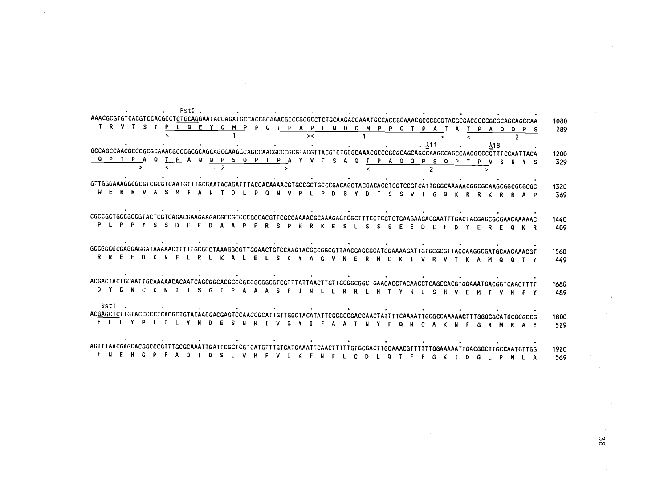| PSti.                                                                                                               |      |
|---------------------------------------------------------------------------------------------------------------------|------|
| AAACGCGTGTCACGCCTCTGCAGGAATACCAGATGCACCGCAAACGCCCGCGCTCTGCAAGACGCAAATGCCACCGCAAACGCCCGCGTACGCGACGCCCGCGCAGCAGCAA    | 1080 |
| $T-S$<br>P L Q E Y Q M P P Q T P A P L Q D Q M P P Q T<br>P<br>A O<br>െ                                             | 289  |
| $\geq$<br>$\checkmark$                                                                                              |      |
| . $\lambda$ 11<br>$\lambda$ 18                                                                                      |      |
|                                                                                                                     | 1200 |
| Q P T P A<br>$\Omega$<br>T P A Q Q P S Q P T P A Y<br>v<br>$\Omega$<br>TPAQQPSQP<br>S.                              | 329  |
|                                                                                                                     |      |
|                                                                                                                     |      |
| 3030302080304A0302080AAAAA260807TA376257020A52AAAA2020207020702076AAAAA20207TAAA3AAAA20207TAA7182020760AAAAA820710  | 1320 |
| O.<br>R R<br>KRRA<br>- P                                                                                            | 369  |
|                                                                                                                     |      |
|                                                                                                                     |      |
|                                                                                                                     | 1440 |
|                                                                                                                     | 409  |
|                                                                                                                     |      |
|                                                                                                                     |      |
|                                                                                                                     | 1560 |
| R R F<br>-F<br>n.<br>K N F<br>R<br>А.<br>F<br>-S.<br>F<br>F<br>0<br>$\mathbf{a}$                                    | 449  |
|                                                                                                                     |      |
|                                                                                                                     |      |
|                                                                                                                     | 1680 |
| D Y C N C K N T<br>-S.<br>G<br>D<br>$\Delta$<br>-S.<br>A<br>- 6<br>. N<br>- 12<br>$\mathbf{R}$<br>R<br>-N           | 489  |
|                                                                                                                     |      |
|                                                                                                                     |      |
| SstI                                                                                                                |      |
| ACGAGCTCTTGTACCCCCTCACGCTGTACAACGAGGTCCAACCGCATTGTTGGCTACATATTACGCGACCAACTATTTTCAAAATTGCGCCAAAAACTTTGGGCGCATGCGCGCG | 1800 |
| $\Omega$<br>N<br><b>N</b><br>$\mathbf{R}$                                                                           | 529  |
|                                                                                                                     |      |
|                                                                                                                     |      |
|                                                                                                                     | 1920 |

 $38$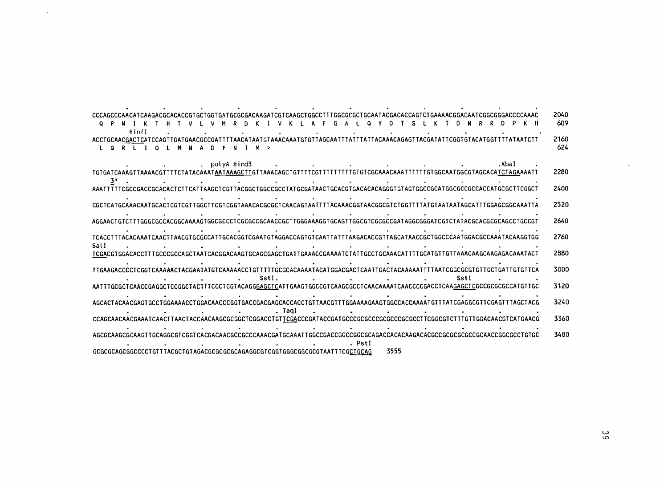| CCCAGCCCAACATCAAGACGCACACCGTGCTGGTGATGCGCGACAAGATCGTCAAGCTGGCCTTTGGCGCGCTGCAATACGACACCAGTCTGAAAACGGACAATCGGCGGGACCCCAAAC<br>KIVKLAF GAL QY<br>T S L K T D N R R<br>D. | 2040<br>609 |
|-----------------------------------------------------------------------------------------------------------------------------------------------------------------------|-------------|
| Hinfl                                                                                                                                                                 | 2160<br>624 |
| .Xbal<br>. polyA Hind3                                                                                                                                                | 2280        |
| AAATTTTTCGCCGACCGCACACTCTTCATTAAGCTCGTTACGGCTGGCCGCCTATGCGATAACTGCACGTGACACACAGGGTGTAGTGGCCGCATGGCCCCCCATGCGCTTCGGCT                                                  | 2400        |
| CGCTCATGCAAACAATGCACTCGTCGTTGGCTTCGTCGTAAACACGCGCTCAACAGTAATTTTACAAACGGTAACGGCGTCTGGTTTTATGTAATAATAGCATTTGGAGCGGCAAATTA                                               | 2520        |
|                                                                                                                                                                       | 2640        |
| TCACCTTTACACAAATCAACTTAACGTGCGCCATTGCACGGTCGAATGTAGGACCAGTGTCAATTATTTAAGACACCGTTAGCATAACCGCTGGCCCAATGGACGCCAATACAAGGTGG                                               | 2760        |
| Sall                                                                                                                                                                  | 2880        |
| TTGAAGACCCCCTCGTCAAAAACTACGAATATGTCAAAAACCTGTTTTTGCGCACAAAATACATGGACGACTCAATTGACTACAAAAATTTTAATCGGCGCGTGTTGCTGATTGTGTTCA                                              | 3000        |
| SstI.<br>Sstl<br>AATTTGCGCTCAACCGAGGCTCCGGCTACTTTCCCTCGTACAGGGAGCTCATTGAAGTGGCCGTCAAGCGCCTCAACAAAATCAACCCCGACCTCAAGAGCTCGCCGCGCGCCATGTTGC                             | 3120        |
| AGCACTACAACGAGTGCCTGGAAAACCTGGACAACCCGGTGACCGAGCAGCACCACCTGTTAACGTTTGGAAAAGAGAGCCACCAAAATGTTTATCGAGGCGTTCGAGTT                                                        | 3240        |
| . Tagl<br>CCAGCAACAAAATCAACTTAACTACAACAAGGGGGGGTCGGACCTGTTCGACCCGATACCGATGCCCGCGCCCGCGCCCGCGCCTTCGGCGTCTTTGTTGGACAACGTCATGAACG                                        | 3360        |
| . Psti                                                                                                                                                                | 3480        |
| 3555<br>0A30T30617TAAT030GCCCT6TTTAC6CT6TA6AC6CGCGCGC6AG4GCGTCGGT6GGCGCGCGTAATTTCGCT6T6TA                                                                             |             |

 $\frac{3}{9}$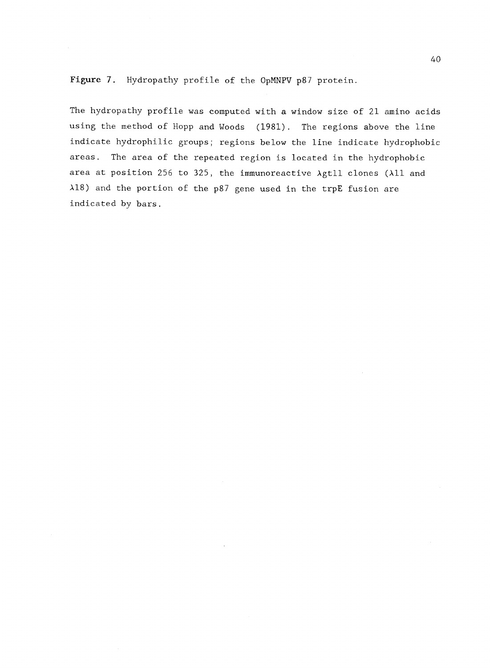Figure 7. Hydropathy profile of the OpMNPV p87 protein.

The hydropathy profile was computed with a window size of 21 amino acids using the method of Hopp and Woods (1981). The regions above the line indicate hydrophilic groups; regions below the line indicate hydrophobic areas. The area of the repeated region is located in the hydrophobic area at position 256 to 325, the immunoreactive Agtll clones (All and A18) and the portion of the p87 gene used in the trpE fusion are indicated by bars.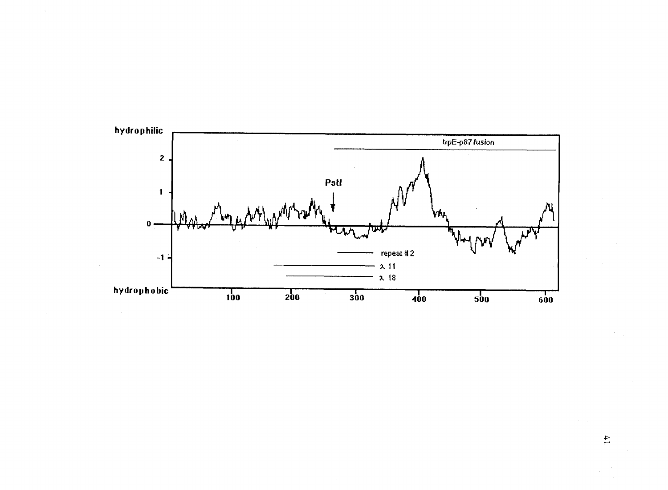

 $\alpha$ 

 $41$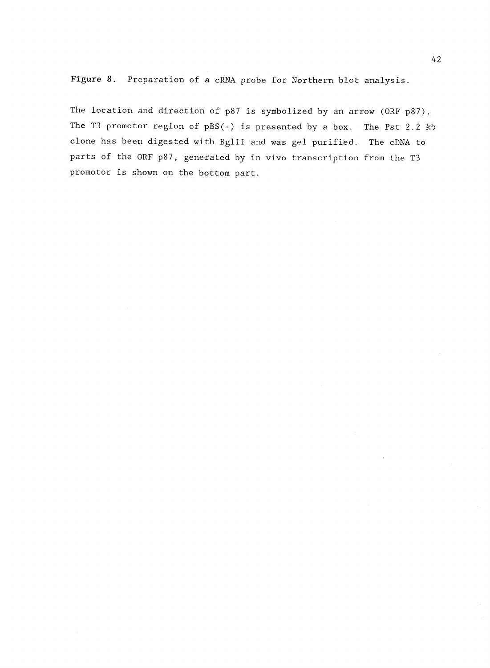Figure 8. Preparation of a cRNA probe for Northern blot analysis.

The location and direction of p87 is symbolized by an arrow (ORF p87). The T3 promotor region of pBS(-) is presented by a box. The Pst 2.2 kb clone has been digested with BglII and was gel purified. The cDNA to parts of the ORF p87, generated by in vivo transcription from the T3 promotor is shown on the bottom part.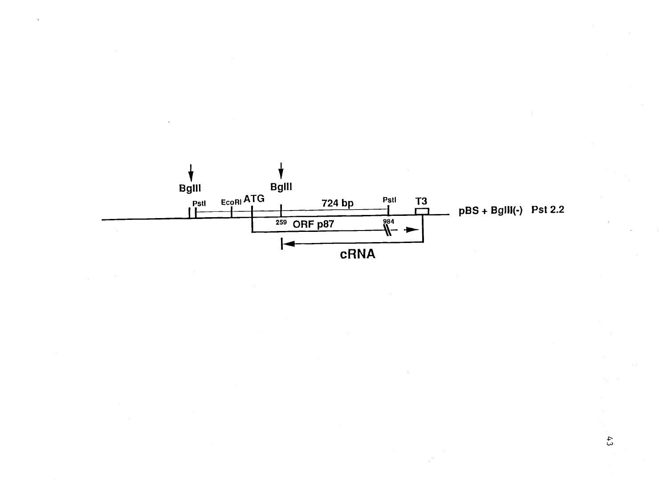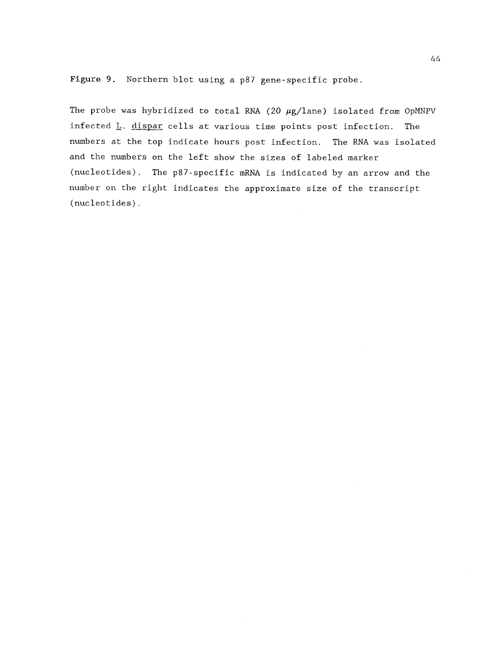Figure 9. Northern blot using a p87 gene-specific probe.

The probe was hybridized to total RNA (20  $\mu$ g/lane) isolated from OpMNPV infected L. dispar cells at various time points post infection. The numbers at the top indicate hours post infection. The RNA was isolated and the numbers on the left show the sizes of labeled marker (nucleotides). The p87-specific mRNA is indicated by an arrow and the number on the right indicates the approximate size of the transcript (nucleotides).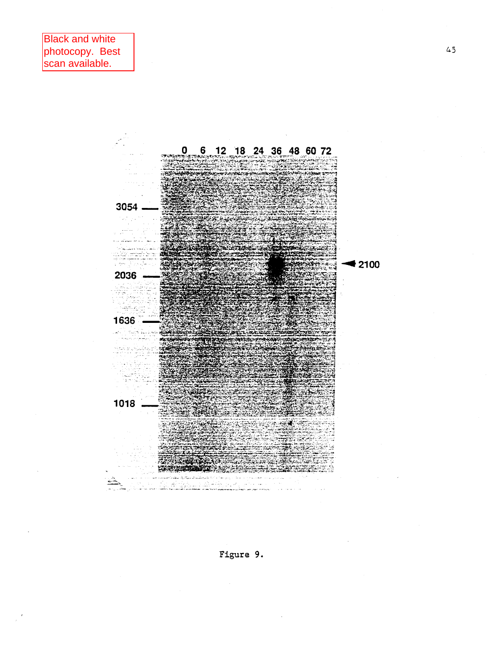

Figure 9.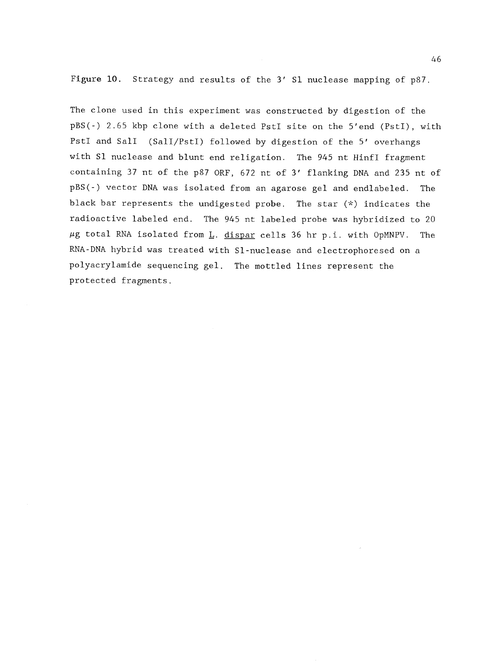Figure 10. Strategy and results of the 3' S1 nuclease mapping of p87.

The clone used in this experiment was constructed by digestion of the pBS(-) 2.65 kbp clone with a deleted PstI site on the 5'end (PstI), with PstI and Sall (SalI/PstI) followed by digestion of the 5' overhangs with Sl nuclease and blunt end religation. The 945 nt HinfI fragment containing 37 nt of the p87 ORF, 672 nt of 3' flanking DNA and 235 nt of pBS(-) vector DNA was isolated from an agarose gel and endlabeled. The black bar represents the undigested probe. The star (\*) indicates the radioactive labeled end. The 945 nt labeled probe was hybridized to 20  $\mu$ g total RNA isolated from L. dispar cells 36 hr p.i. with OpMNPV. The RNA-DNA hybrid was treated with Sl-nuclease and electrophoresed on a polyacrylamide sequencing gel. The mottled lines represent the protected fragments.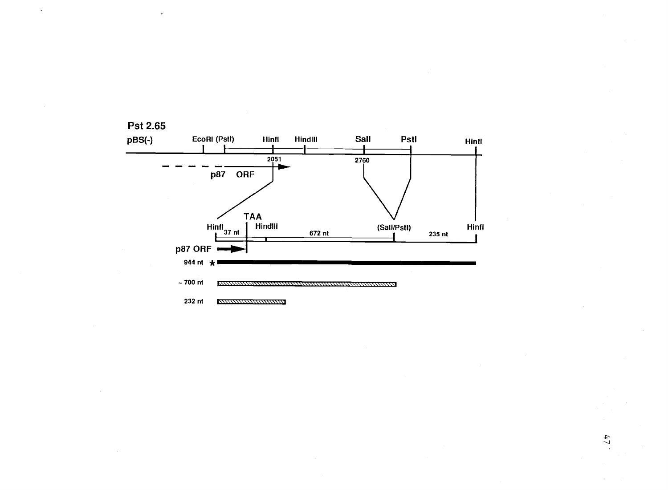

**Pst 2.65** 

## $\ddot{4}$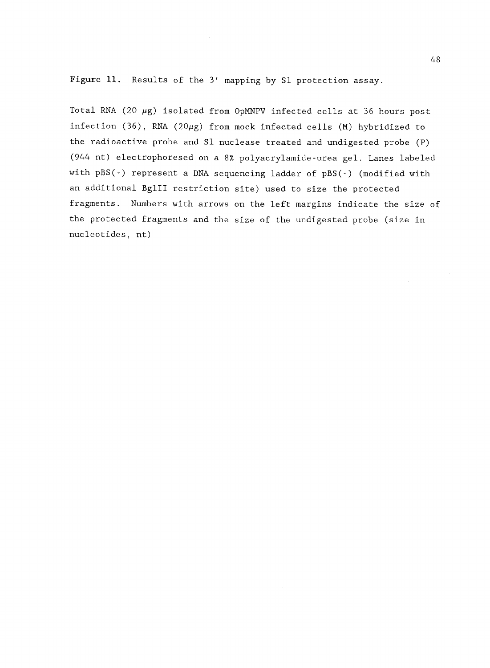Figure 11. Results of the 3' mapping by S1 protection assay.

Total RNA (20  $\mu$ g) isolated from OpMNPV infected cells at 36 hours post infection (36), RNA (20 $\mu$ g) from mock infected cells (M) hybridized to the radioactive probe and S1 nuclease treated and undigested probe (P) (944 nt) electrophoresed on a 8% polyacrylamide-urea gel. Lanes labeled with pBS(-) represent a DNA sequencing ladder of pBS(-) (modified with an additional BglII restriction site) used to size the protected fragments. Numbers with arrows on the left margins indicate the size of the protected fragments and the size of the undigested probe (size in nucleotides, nt)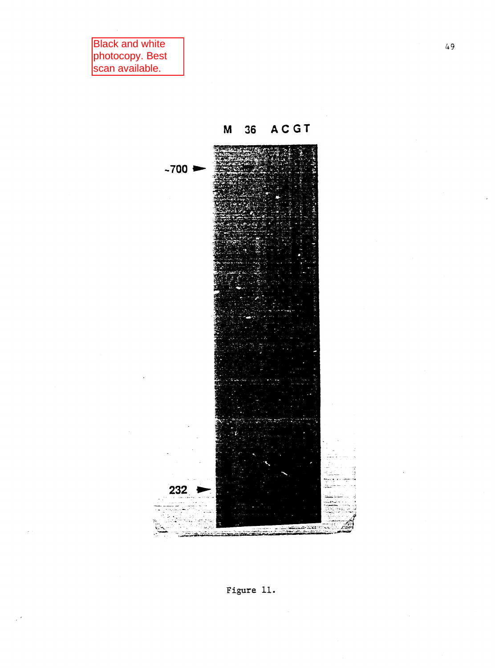**Black and white** photocopy. Best<br>scan available.





 $49$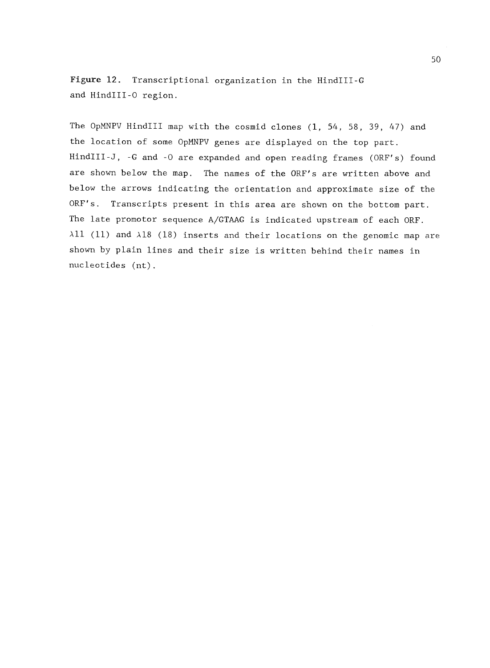Figure 12. Transcriptional organization in the HindIII-G and HindIII-0 region.

The OpMNPV HindIII map with the cosmid clones (1, 54, 58, 39, 47) and the location of some OpMNPV genes are displayed on the top part. HindIII-J, -G and -0 are expanded and open reading frames (ORF's) found are shown below the map. The names of the ORF's are written above and below the arrows indicating the orientation and approximate size of the ORF's. Transcripts present in this area are shown on the bottom part. The late promotor sequence A/GTAAG is indicated upstream of each ORF.  $\lambda$ 11 (11) and  $\lambda$ 18 (18) inserts and their locations on the genomic map are shown by plain lines and their size is written behind their names in nucleotides (nt).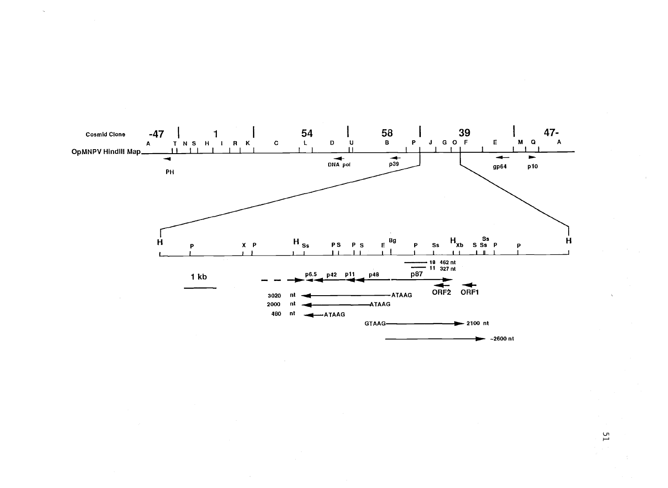

 $\overline{51}$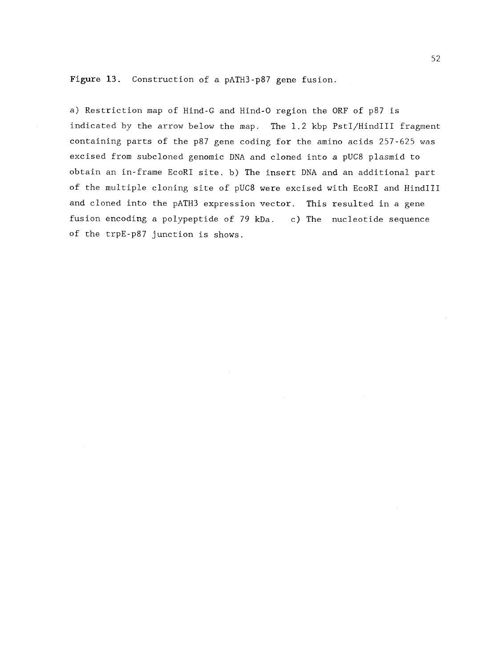Figure 13. Construction of a pATH3-p87 gene fusion.

a) Restriction map of Hind-G and Hind-0 region the ORF of p87 is indicated by the arrow below the map. The 1.2 kbp PstI/HindIII fragment containing parts of the p87 gene coding for the amino acids 257-625 was excised from subcloned genomic DNA and cloned into a pUC8 plasmid to obtain an in-frame EcoRI site. b) The insert DNA and an additional part of the multiple cloning site of pUC8 were excised with EcoRI and HindIII and cloned into the pATH3 expression vector. This resulted in a gene fusion encoding a polypeptide of 79 kDa. c) The nucleotide sequence of the trpE-p87 junction is shows.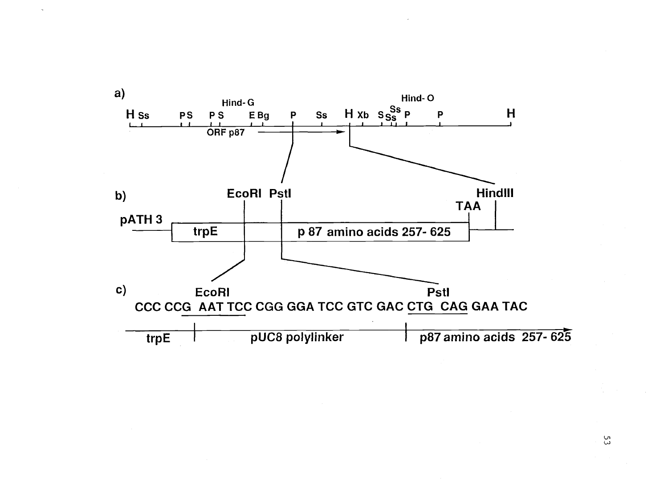

ပ္ပ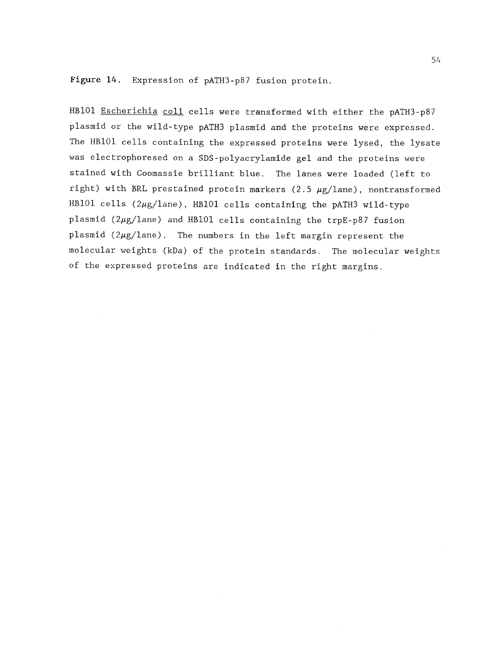Figure 14. Expression of pATH3-p87 fusion protein.

HB101 Escherichia coli cells were transformed with either the pATH3-p87 plasmid or the wild-type pATH3 plasmid and the proteins were expressed. The HB101 cells containing the expressed proteins were lysed, the lysate was electrophoresed on a SDS-polyacrylamide gel and the proteins were stained with Coomassie brilliant blue. The lanes were loaded (left to right) with BRL prestained protein markers (2.5  $\mu$ g/lane), nontransformed HB101 cells  $(2\mu g/1$ ane), HB101 cells containing the pATH3 wild-type plasmid ( $2\mu$ g/lane) and HB101 cells containing the trpE-p87 fusion plasmid  $(2\mu g/1$ ane). The numbers in the left margin represent the molecular weights (kDa) of the protein standards. The molecular weights of the expressed proteins are indicated in the right margins.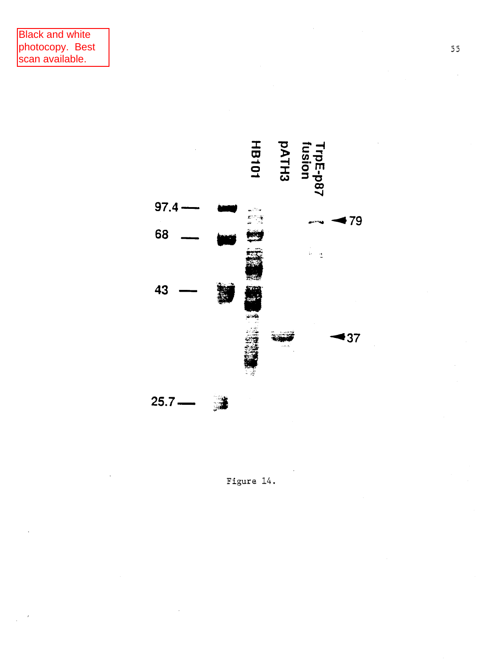

Figure 14.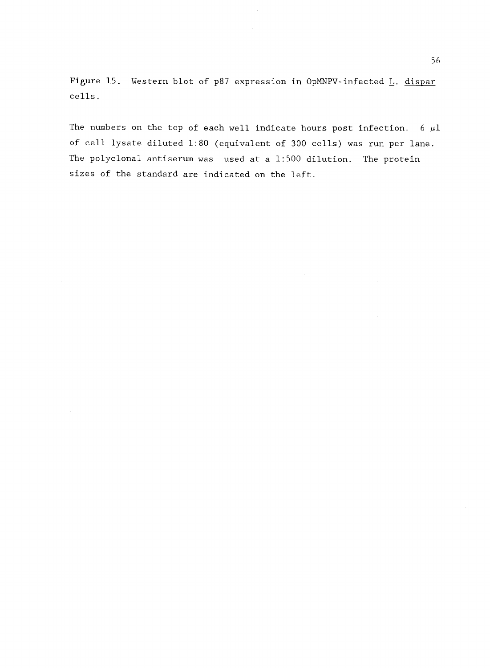Figure 15. Western blot of p87 expression in OpMNPV-infected L. dispar cells.

The numbers on the top of each well indicate hours post infection. 6  $\mu$ l of cell lysate diluted 1:80 (equivalent of 300 cells) was run per lane. The polyclonal antiserum was used at a 1:500 dilution. The protein sizes of the standard are indicated on the left.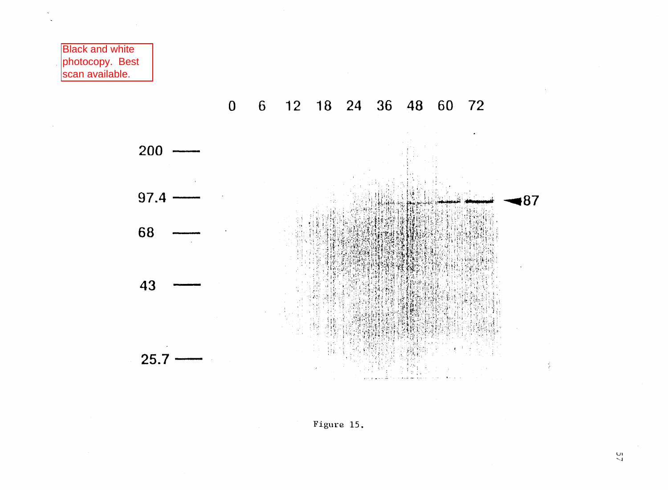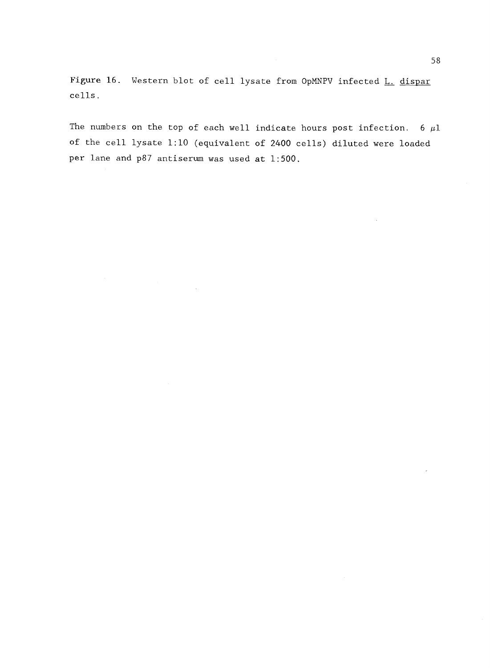Figure 16. Western blot of cell lysate from OpMNPV infected L. dispar cells.

The numbers on the top of each well indicate hours post infection. 6  $\mu$ l of the cell lysate 1:10 (equivalent of 2400 cells) diluted were loaded per lane and p87 antiserum was used at 1:500.

 $\mathcal{L}_{\mathcal{A}}$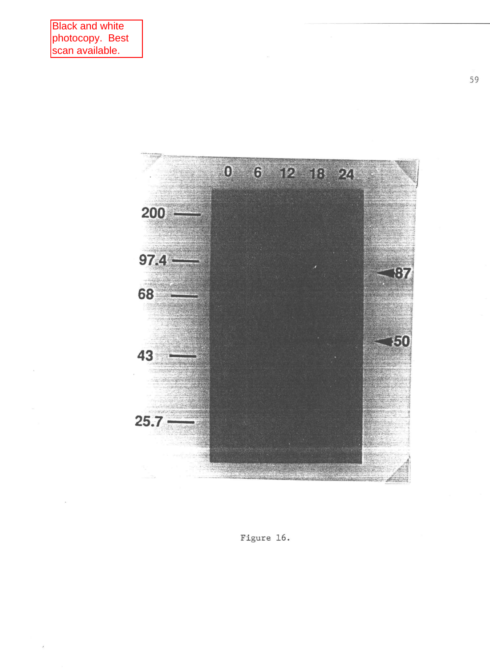

Figure 16.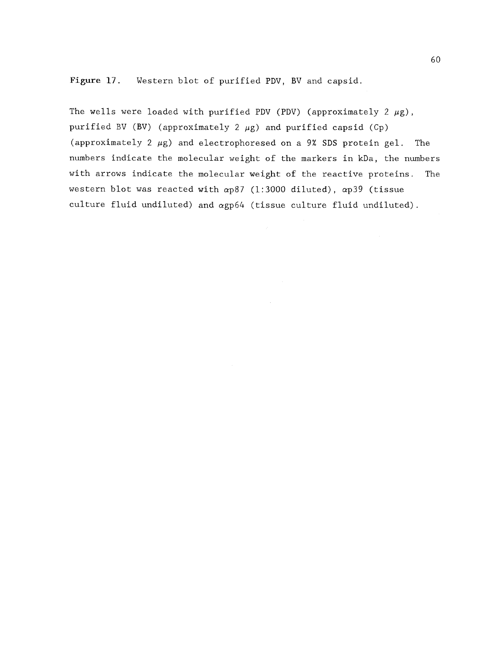Figure 17. Western blot of purified PDV, BV and capsid.

The wells were loaded with purified PDV (PDV) (approximately 2  $\mu$ g), purified BV (BV) (approximately 2  $\mu$ g) and purified capsid (Cp) (approximately 2  $\mu$ g) and electrophoresed on a 9% SDS protein gel. The numbers indicate the molecular weight of the markers in kDa, the numbers with arrows indicate the molecular weight of the reactive proteins. The western blot was reacted with ap87 (1:3000 diluted), ap39 (tissue culture fluid undiluted) and agp64 (tissue culture fluid undiluted).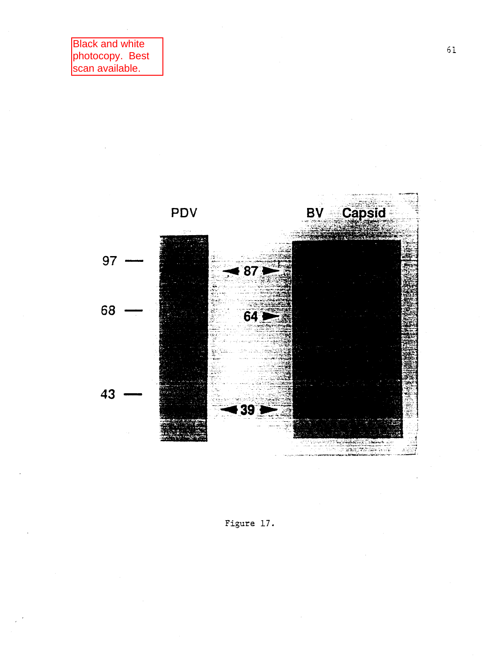

Figure 17.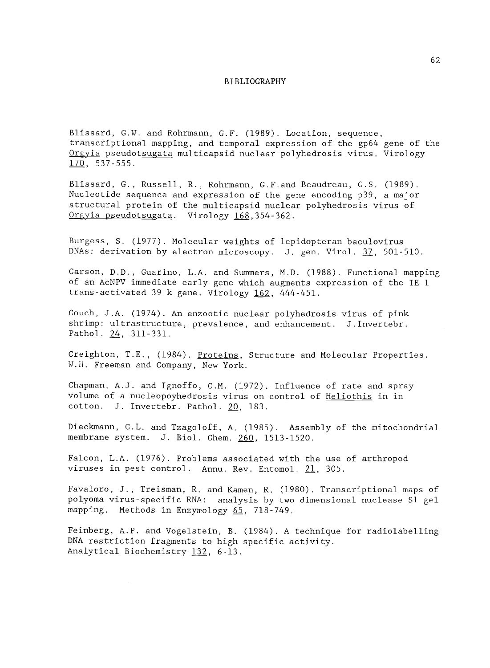## BIBLIOGRAPHY

Blissard, G.W. and Rohrmann, G.F. (1989). Location, sequence, transcriptional mapping, and temporal expression of the gp64 gene of the Orgyia pseudotsugata multicapsid nuclear polyhedrosis virus. Virology 170, 537-555.

Blissard, G., Russell, R., Rohrmann, G.F.and Beaudreau, G.S. (1989). Nucleotide sequence and expression of the gene encoding p39, a major structural protein of the multicapsid nuclear polyhedrosis virus of Orgyia pseudotsugata. Virology 168,354-362.

Burgess, S. (1977). Molecular weights of lepidopteran baculovirus DNAs: derivation by electron microscopy. J. gen. Virol. 37, 501-510.

Carson, D.D., Guarino, L.A. and Summers, M.D. (1988). Functional mapping of an AcNPV immediate early gene which augments expression of the IE-1 trans-activated 39 k gene. Virology 162, 444-451.

Couch, J.A. (1974). An enzootic nuclear polyhedrosis virus of pink shrimp: ultrastructure, prevalence, and enhancement. J.Invertebr. Pathol. 24, 311-331.

Creighton, T.E., (1984). Proteins, Structure and Molecular Properties. W.H. Freeman and Company, New York.

Chapman, A.J. and Ignoffo, C.M. (1972). Influence of rate and spray volume of a nucleopoyhedrosis virus on control of Heliothis in in cotton. J. Invertebr. Pathol. 20, 183.

Dieckmann, C.L. and Tzagoloff, A. (1985). Assembly of the mitochondrial membrane system. J. Biol. Chem. 260, 1513-1520.

Falcon, L.A. (1976). Problems associated with the use of arthropod viruses in pest control. Annu. Rev. Entomol. 21, 305.

Favaloro, J., Treisman, R. and Kamen, R. (1980). Transcriptional maps of polyoma virus-specific RNA: analysis by two dimensional nuclease S1 gel mapping. Methods in Enzymology 65, 718-749.

Feinberg, A.P. and Vogelstein, B. (1984). A technique for radiolabelling DNA restriction fragments to high specific activity. Analytical Biochemistry 132, 6-13.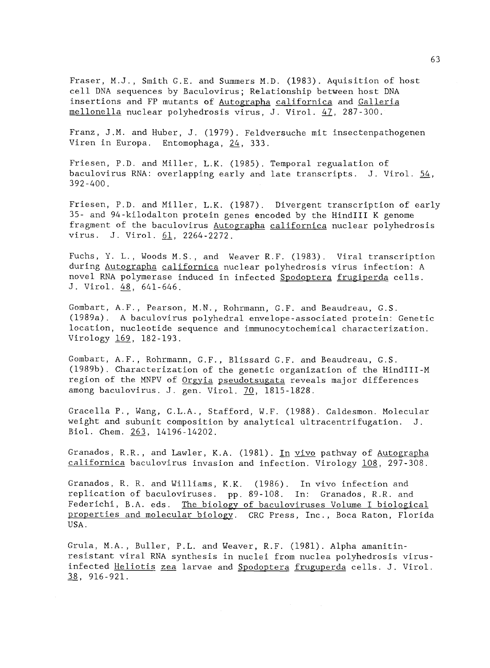Fraser, M.J., Smith G.E. and Summers M.D. (1983). Aquisition of host cell DNA sequences by Baculovirus; Relationship between host DNA insertions and FP mutants of Autographa californica and Galleria mellonella nuclear polyhedrosis virus, J. Virol. 47, 287-300.

Franz, J.M. and Huber, J. (1979). Feldversuche mit insectenpathogenen Viren in Europa. Entomophaga, 24, 333.

Friesen, P.D. and Miller, L.K. (1985). Temporal regualation of baculovirus RNA: overlapping early and late transcripts. J. Virol.  $54$ , 392-400.

Friesen, P.D. and Miller, L.K. (1987). Divergent transcription of early 35- and 94-kilodalton protein genes encoded by the HindIII K genome fragment of the baculovirus Autographa californica nuclear polyhedrosis virus. J. Virol. 61, 2264-2272.

Fuchs, Y. L., Woods M.S., and Weaver R.F. (1983). Viral transcription during Autographa californica nuclear polyhedrosis virus infection: A novel RNA polymerase induced in infected Spodoptera frugiperda cells. J. Virol. 48, 641-646.

Gombart, A.F., Pearson, M.N., Rohrmann, G.F. and Beaudreau, G.S. (1989a). A baculovirus polyhedral envelope-associated protein: Genetic location, nucleotide sequence and immunocytochemical characterization. Virology 169, 182-193.

Gombart, A.F., Rohrmann, G.F., Blissard G.F. and Beaudreau, G.S. (1989b). Characterization of the genetic organization of the HindIII-M region of the MNPV of Orgyia pseudotsugata reveals major differences among baculovirus. J. gen. Virol. 70, 1815-1828.

Gracella P., Wang, C.L.A., Stafford, W.F. (1988). Caldesmon. Molecular weight and subunit composition by analytical ultracentrifugation. J. Biol. Chem. 263, 14196-14202.

Granados, R.R., and Lawler, K.A. (1981). In vivo pathway of Autographa californica baculovirus invasion and infection. Virology 108, 297-308.

Granados, R. R. and Williams, K.K. (1986). In vivo infection and replication of baculoviruses. pp. 89-108. In: Granados, R.R. and Federichi, B.A. eds. The biology of baculoviruses Volume I biological properties and molecular biology. CRC Press, Inc., Boca Raton, Florida USA.

Grula, M.A., Buller, P.L. and Weaver, R.F. (1981). Alpha amanitinresistant viral RNA synthesis in nuclei from nuclea polyhedrosis virusinfected Heliotis zea larvae and Spodoptera fruguperda cells. J. Virol. 38, 916-921.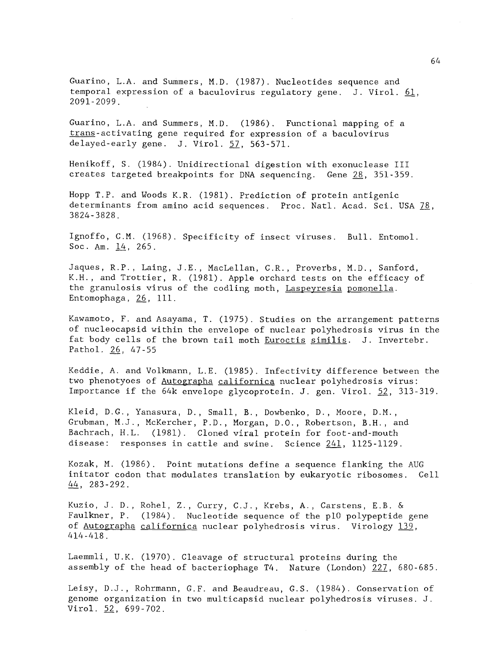Guarino, L.A. and Summers, M.D. (1987). Nucleotides sequence and temporal expression of a baculovirus regulatory gene. J. Virol.  $61$ , 2091-2099.

Guarino, L.A. and Summers, M.D. (1986). Functional mapping of a trans-activating gene required for expression of a baculovirus delayed-early gene. J. Virol. 57, 563-571.

Henikoff, S. (1984). Unidirectional digestion with exonuclease III creates targeted breakpoints for DNA sequencing. Gene 28, 351-359.

Hopp T.P. and Woods K.R. (1981). Prediction of protein antigenic determinants from amino acid sequences. Proc. Natl. Acad. Sci. USA 78, 3824-3828.

Ignoffo, C.M. (1968). Specificity of insect viruses. Bull. Entomol. Soc. Am.  $14, 265$ .

Jaques, R.P., Laing, J.E., MacLellan, C.R., Proverbs, M.D., Sanford, K.H., and Trottier, R. (1981). Apple orchard tests on the efficacy of the granulosis virus of the codling moth, Laspeyresia pomonella. Entomophaga, 26, 111.

Kawamoto, F. and Asayama, T. (1975). Studies on the arrangement patterns of nucleocapsid within the envelope of nuclear polyhedrosis virus in the fat body cells of the brown tail moth Euroctis similis. J. Invertebr. Pathol. 26, 47-55

Keddie, A. and Volkmann, L.E. (1985). Infectivity difference between the two phenotyoes of Autographa californica nuclear polyhedrosis virus: Importance if the 64k envelope glycoprotein. J. gen. Virol. 52, 313-319.

Kleid, D.C., Yanasura, D., Small, B., Dowbenko, D., Moore, D.M., Grubman, M.J., McKercher, P.D., Morgan, D.O., Robertson, B.H., and Bachrach, H.L. (1981). Cloned viral protein for foot-and-mouth disease: responses in cattle and swine. Science 241, 1125-1129.

Kozak, M. (1986). Point mutations define a sequence flanking the AUG initator codon that modulates translation by eukaryotic ribosomes. Cell  $44, 283 - 292.$ 

Kuzio, J. D., Rohel, Z., Curry, C.J., Krebs, A., Carstens, E.B. & Faulkner, P. (1984). Nucleotide sequence of the p10 polypeptide gene of Autographa californica nuclear polyhedrosis virus. Virology 139, 414-418.

Laemmli, U.K. (1970). Cleavage of structural proteins during the assembly of the head of bacteriophage T4. Nature (London) 227, 680-685.

Leisy, D.J., Rohrmann, G.F. and Beaudreau, G.S. (1984). Conservation of genome organization in two multicapsid nuclear polyhedrosis viruses. J. Virol. 52, 699-702.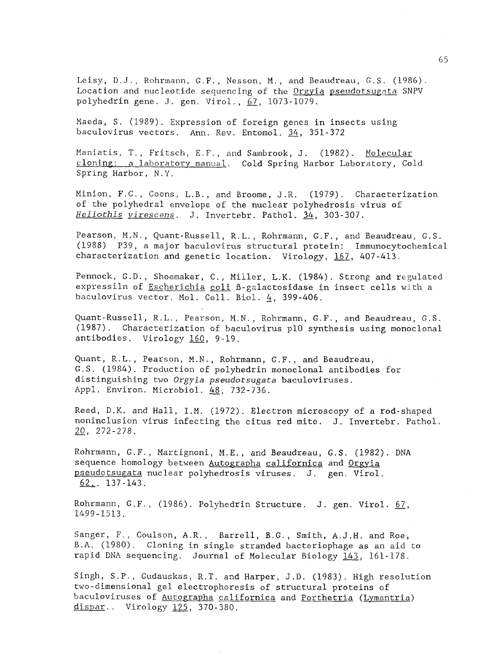Leisy, D.J., Rohrmann, C.F., Nesson, M., and Beaudreau, G.S. (1986). Location and nucleotide sequencing of the Orgyia pseudotsugata SNPV polyhedrin gene. J. gen. Virol., 67, 1073-1079.

Maeda, S. (1989). Expression of foreign genes in insects using baculovirus vectors. Ann. Rev. Entomol. 34, 351-372

Maniatis, T., Fritsch, E.F., and Sambrook, J. (1982). Molecular cloning: a laboratory manual. Cold Spring Harbor Laboratory, Cold Spring Harbor, N.Y.

Minion, F.C., Coons, L.B., and Broome, J.R. (1979). Characterization of the polyhedral envelope of the nuclear polyhedrosis virus of Heliothis virescens. J. Invertebr. Pathol. 34, 303-307.

Pearson, M.N., Quant-Russell, R.L., Rohrmann, G.F., and Beaudreau, G.S. (1988) P39, a major baculovirus structural protein: Immunocytochemical characterization and genetic location. Virology, 167, 407-413.

Pennock, C.D., Shoemaker, C., Miller, L.K. (1984). Strong and regulated expressiln of Escherichia coli B-galactosidase in insect cells with a baculovirus vector, Mol. Cell. Biol. 4, 399-406.

Quant-Russell, R,L., Pearson, M.N., Rohrmann, C.F., and Beaudreau, G.S. (1987). Characterization of baculovirus p10 synthesis using monoclonal antibodies. Virology 160, 9-19.

Quant, R.L., Pearson, M.N., Rohrmann, G.F., and Beaudreau, G.S. (1984). Production of polyhedrin monoclonal antibodies for distinguishing two Orgyia pseudotsugata baculoviruses. Appl. Environ. Microbiol. 48, 732-736.

Reed, D.K. and Hall, I.M. (1972). Electron microscopy of a rod-shaped noninclusion virus infecting the citus red mite. J. Invertebr. Pathol. 20, 272-278.

Rohrmann, G.F., Martignoni, M.E., and Beaudreau, G.S. (1982). DNA sequence homology between Autographa californica and Orgyia pseudotsugata nuclear polyhedrosis viruses. J. gen. Virol.  $62$ . 137-143.

Rohrmann, G.F., (1986). Polyhedrin Structure. J. gen. Virol. 67, 1499-1513.

Sanger, F., Coulson, A.R., Barrell, B.G., Smith, A.J.H. and Roe, B.A. (1980). Cloning in single stranded bacteriophage as an aid to rapid DNA sequencing. Journal of Molecular Biology 143, 161-178.

Singh, S.P., Gudauskas, R.T. and Harper, J.D. (1983). High resolution two-dimensional gel electrophoresis of structural proteins of baculoviruses of Autographa californica and Porthetria (Lymantria) dispar.. Virology 125, 370-380.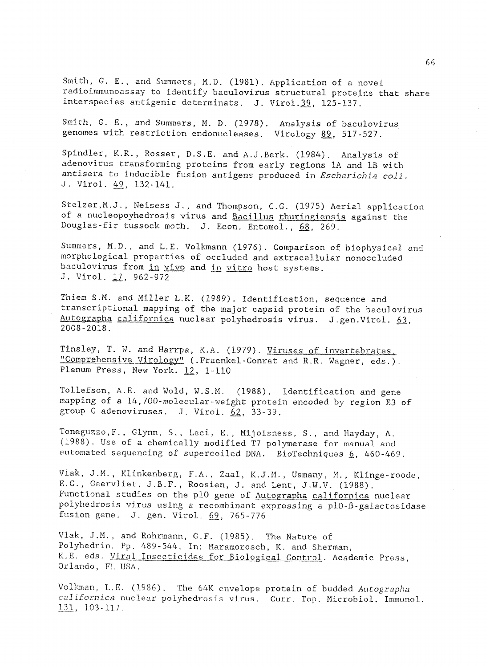Smith, G. E., and Summers, M.D. (1981). Application of a novel radioimmunoassay to identify baculovirus structural proteins that share interspecies antigenic determinats. J. Virol.39, 125-137.

Smith, G. E., and Summers, M. D. (1978). Analysis of baculovirus genomes with restriction endonucleases. Virology 89, 517-527.

Spindler, K.R., Rosser, D.S.E. and A.J.Berk. (1984). Analysis of adenovirus transforming proteins from early regions IA and 1B with antisera to inducible fusion antigens produced in Escherichia coli. J. Virol. 49, 132-141.

Stelzer, M.J., Neisess J., and Thompson, C.G. (1975) Aerial application of a nucleopoyhedrosis virus and Bacillus thuringiensis against the Douglas-fir tussock moth. J. Econ. Entomol., 68, 269.

Summers, M.D., and L.E. Volkmann (1976). Comparison of biophysical and morphological properties of occluded and extracellular nonoccluded baculovirus from in vivo and in vitro host systems. J. Virol. 17, 962-972

Thiem S.M. and Miller L.K. (1989). Identification, sequence and transcriptional mapping of the major capsid protein of the baculovirus Autographa californica nuclear polyhedrosis virus. J.gen.Virol. 63, 2008-2018.

Tinsley, T. W. and Harrpa, K.A. (1979). Viruses of invertebrates. "Comprehensive Virology" (.Fraenkel-Conrat and R.R. Wagner, eds.). Plenum Press, New York. 12, 1-110

Tollefson, A.E. and Wold, W.S.M. (1988). Identification and gene mapping of a 14,700-molecular-weight protein encoded by region E3 of group C adenoviruses. J. Virol. 62, 33-39.

Toneguzzo,F., Glynn, S., Leci, E., Mijolsness, S., and Hayday, A. (1988). Use of a chemically modified T7 polymerase for manual and automated sequencing of supercoiled DNA. BioTechniques 6, 460-469.

Vlak, J.M., Klinkenberg, F.A., Zaal, K.J.M., Usmany, M., Klinge-roode, E.G., Ceervliet, J.B.F., Roosien, J. and Lent, J.W.V. (1988). Functional studies on the p10 gene of Autographa californica nuclear polyhedrosis virus using a recombinant expressing a p10-ß-galactosidase fusion gene. J. gen. Virol. 69, 765-776

Vlak, J.M., and Rohrmann, G.F. (1985). The Nature of Polyhedrin. Pp, 489-544. In: Maramorosch, K. and Sherman, K.E. eds. Viral Insecticides for Biological Control. Academic Press, Orlando, FL USA.

Volkman, L.E. (1986). The 64K envelope protein of budded Autographa californica nuclear polyhedrosis virus. Curr. Top. Microbiol. Immunol. 131, 103-117.